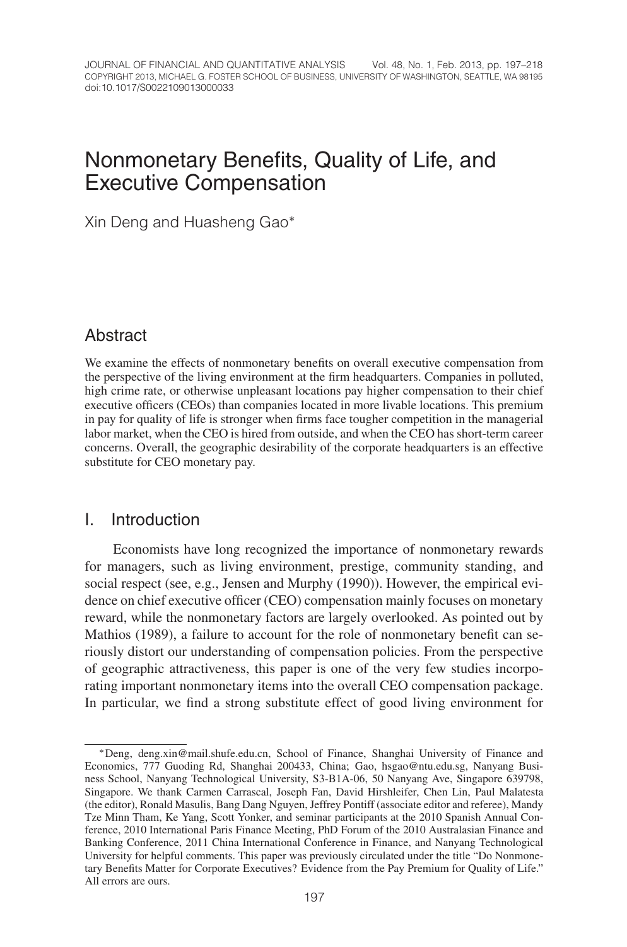# Nonmonetary Benefits, Quality of Life, and Executive Compensation

Xin Deng and Huasheng Gao∗

# **Abstract**

We examine the effects of nonmonetary benefits on overall executive compensation from the perspective of the living environment at the firm headquarters. Companies in polluted, high crime rate, or otherwise unpleasant locations pay higher compensation to their chief executive officers (CEOs) than companies located in more livable locations. This premium in pay for quality of life is stronger when firms face tougher competition in the managerial labor market, when the CEO is hired from outside, and when the CEO has short-term career concerns. Overall, the geographic desirability of the corporate headquarters is an effective substitute for CEO monetary pay.

# I. Introduction

Economists have long recognized the importance of nonmonetary rewards for managers, such as living environment, prestige, community standing, and social respect (see, e.g., Jensen and Murphy (1990)). However, the empirical evidence on chief executive officer (CEO) compensation mainly focuses on monetary reward, while the nonmonetary factors are largely overlooked. As pointed out by Mathios (1989), a failure to account for the role of nonmonetary benefit can seriously distort our understanding of compensation policies. From the perspective of geographic attractiveness, this paper is one of the very few studies incorporating important nonmonetary items into the overall CEO compensation package. In particular, we find a strong substitute effect of good living environment for

<sup>∗</sup>Deng, deng.xin@mail.shufe.edu.cn, School of Finance, Shanghai University of Finance and Economics, 777 Guoding Rd, Shanghai 200433, China; Gao, hsgao@ntu.edu.sg, Nanyang Business School, Nanyang Technological University, S3-B1A-06, 50 Nanyang Ave, Singapore 639798, Singapore. We thank Carmen Carrascal, Joseph Fan, David Hirshleifer, Chen Lin, Paul Malatesta (the editor), Ronald Masulis, Bang Dang Nguyen, Jeffrey Pontiff (associate editor and referee), Mandy Tze Minn Tham, Ke Yang, Scott Yonker, and seminar participants at the 2010 Spanish Annual Conference, 2010 International Paris Finance Meeting, PhD Forum of the 2010 Australasian Finance and Banking Conference, 2011 China International Conference in Finance, and Nanyang Technological University for helpful comments. This paper was previously circulated under the title "Do Nonmonetary Benefits Matter for Corporate Executives? Evidence from the Pay Premium for Quality of Life." All errors are ours.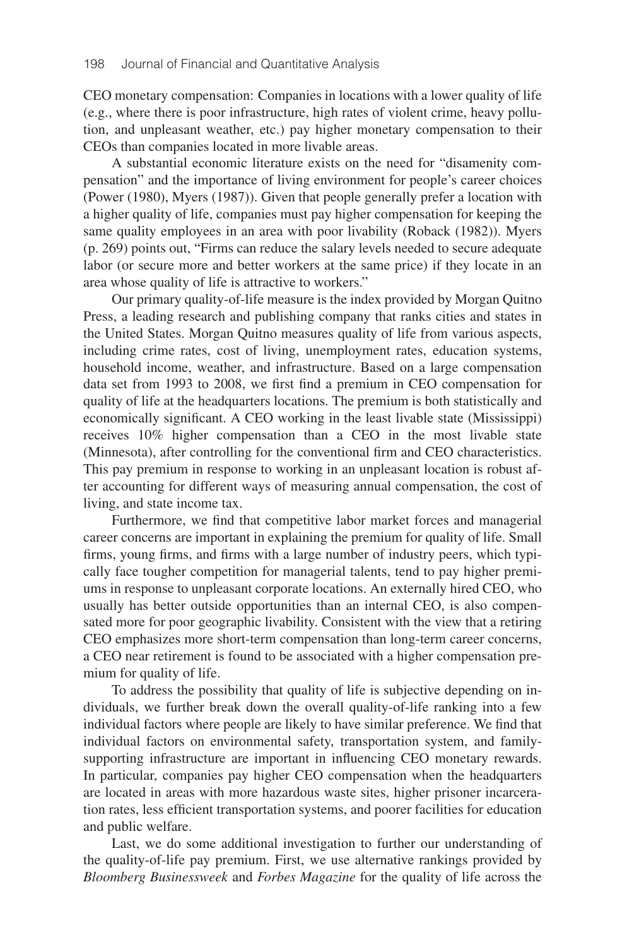CEO monetary compensation: Companies in locations with a lower quality of life (e.g., where there is poor infrastructure, high rates of violent crime, heavy pollution, and unpleasant weather, etc.) pay higher monetary compensation to their CEOs than companies located in more livable areas.

A substantial economic literature exists on the need for "disamenity compensation" and the importance of living environment for people's career choices (Power (1980), Myers (1987)). Given that people generally prefer a location with a higher quality of life, companies must pay higher compensation for keeping the same quality employees in an area with poor livability (Roback (1982)). Myers (p. 269) points out, "Firms can reduce the salary levels needed to secure adequate labor (or secure more and better workers at the same price) if they locate in an area whose quality of life is attractive to workers."

Our primary quality-of-life measure is the index provided by Morgan Quitno Press, a leading research and publishing company that ranks cities and states in the United States. Morgan Quitno measures quality of life from various aspects, including crime rates, cost of living, unemployment rates, education systems, household income, weather, and infrastructure. Based on a large compensation data set from 1993 to 2008, we first find a premium in CEO compensation for quality of life at the headquarters locations. The premium is both statistically and economically significant. A CEO working in the least livable state (Mississippi) receives 10% higher compensation than a CEO in the most livable state (Minnesota), after controlling for the conventional firm and CEO characteristics. This pay premium in response to working in an unpleasant location is robust after accounting for different ways of measuring annual compensation, the cost of living, and state income tax.

Furthermore, we find that competitive labor market forces and managerial career concerns are important in explaining the premium for quality of life. Small firms, young firms, and firms with a large number of industry peers, which typically face tougher competition for managerial talents, tend to pay higher premiums in response to unpleasant corporate locations. An externally hired CEO, who usually has better outside opportunities than an internal CEO, is also compensated more for poor geographic livability. Consistent with the view that a retiring CEO emphasizes more short-term compensation than long-term career concerns, a CEO near retirement is found to be associated with a higher compensation premium for quality of life.

To address the possibility that quality of life is subjective depending on individuals, we further break down the overall quality-of-life ranking into a few individual factors where people are likely to have similar preference. We find that individual factors on environmental safety, transportation system, and familysupporting infrastructure are important in influencing CEO monetary rewards. In particular, companies pay higher CEO compensation when the headquarters are located in areas with more hazardous waste sites, higher prisoner incarceration rates, less efficient transportation systems, and poorer facilities for education and public welfare.

Last, we do some additional investigation to further our understanding of the quality-of-life pay premium. First, we use alternative rankings provided by *Bloomberg Businessweek* and *Forbes Magazine* for the quality of life across the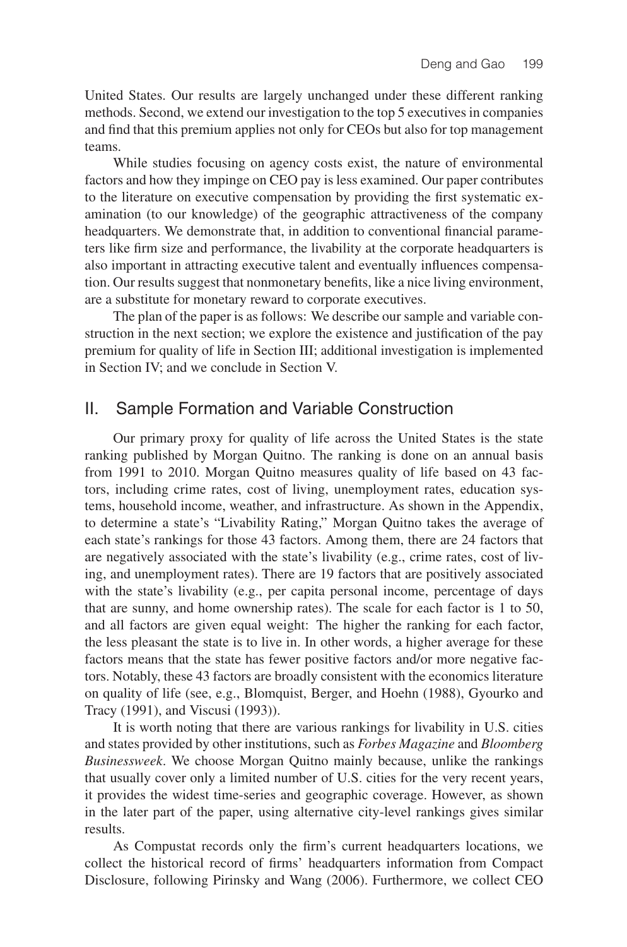United States. Our results are largely unchanged under these different ranking methods. Second, we extend our investigation to the top 5 executives in companies and find that this premium applies not only for CEOs but also for top management teams.

While studies focusing on agency costs exist, the nature of environmental factors and how they impinge on CEO pay is less examined. Our paper contributes to the literature on executive compensation by providing the first systematic examination (to our knowledge) of the geographic attractiveness of the company headquarters. We demonstrate that, in addition to conventional financial parameters like firm size and performance, the livability at the corporate headquarters is also important in attracting executive talent and eventually influences compensation. Our results suggest that nonmonetary benefits, like a nice living environment, are a substitute for monetary reward to corporate executives.

The plan of the paper is as follows: We describe our sample and variable construction in the next section; we explore the existence and justification of the pay premium for quality of life in Section III; additional investigation is implemented in Section IV; and we conclude in Section V.

# II. Sample Formation and Variable Construction

Our primary proxy for quality of life across the United States is the state ranking published by Morgan Quitno. The ranking is done on an annual basis from 1991 to 2010. Morgan Quitno measures quality of life based on 43 factors, including crime rates, cost of living, unemployment rates, education systems, household income, weather, and infrastructure. As shown in the Appendix, to determine a state's "Livability Rating," Morgan Quitno takes the average of each state's rankings for those 43 factors. Among them, there are 24 factors that are negatively associated with the state's livability (e.g., crime rates, cost of living, and unemployment rates). There are 19 factors that are positively associated with the state's livability (e.g., per capita personal income, percentage of days that are sunny, and home ownership rates). The scale for each factor is 1 to 50, and all factors are given equal weight: The higher the ranking for each factor, the less pleasant the state is to live in. In other words, a higher average for these factors means that the state has fewer positive factors and/or more negative factors. Notably, these 43 factors are broadly consistent with the economics literature on quality of life (see, e.g., Blomquist, Berger, and Hoehn (1988), Gyourko and Tracy (1991), and Viscusi (1993)).

It is worth noting that there are various rankings for livability in U.S. cities and states provided by other institutions, such as *Forbes Magazine* and *Bloomberg Businessweek*. We choose Morgan Quitno mainly because, unlike the rankings that usually cover only a limited number of U.S. cities for the very recent years, it provides the widest time-series and geographic coverage. However, as shown in the later part of the paper, using alternative city-level rankings gives similar results.

As Compustat records only the firm's current headquarters locations, we collect the historical record of firms' headquarters information from Compact Disclosure, following Pirinsky and Wang (2006). Furthermore, we collect CEO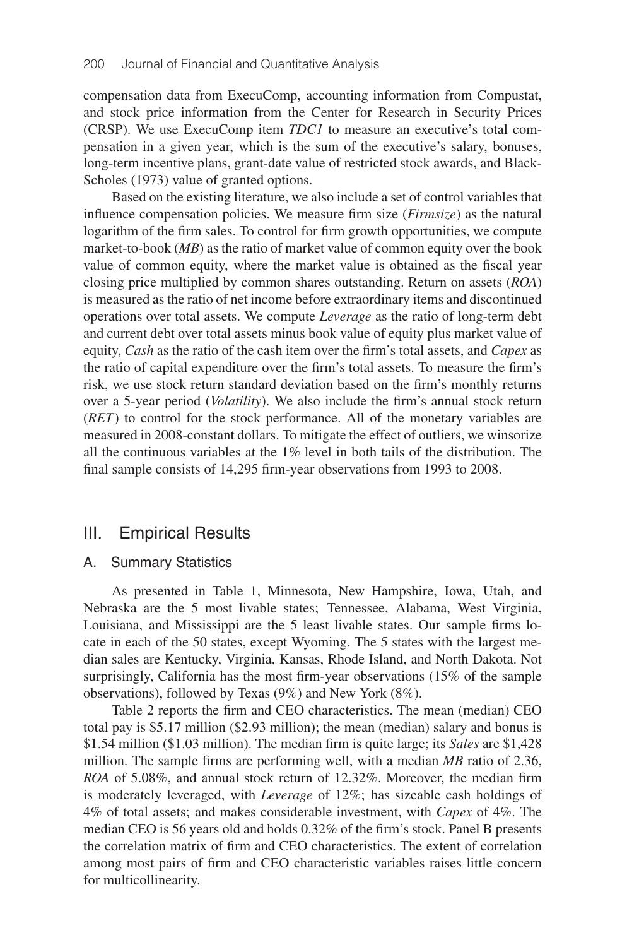compensation data from ExecuComp, accounting information from Compustat, and stock price information from the Center for Research in Security Prices (CRSP). We use ExecuComp item *TDC1* to measure an executive's total compensation in a given year, which is the sum of the executive's salary, bonuses, long-term incentive plans, grant-date value of restricted stock awards, and Black-Scholes (1973) value of granted options.

Based on the existing literature, we also include a set of control variables that influence compensation policies. We measure firm size (*Firmsize*) as the natural logarithm of the firm sales. To control for firm growth opportunities, we compute market-to-book (*MB*) as the ratio of market value of common equity over the book value of common equity, where the market value is obtained as the fiscal year closing price multiplied by common shares outstanding. Return on assets (*ROA*) is measured as the ratio of net income before extraordinary items and discontinued operations over total assets. We compute *Leverage* as the ratio of long-term debt and current debt over total assets minus book value of equity plus market value of equity, *Cash* as the ratio of the cash item over the firm's total assets, and *Capex* as the ratio of capital expenditure over the firm's total assets. To measure the firm's risk, we use stock return standard deviation based on the firm's monthly returns over a 5-year period (*Volatility*). We also include the firm's annual stock return (*RET*) to control for the stock performance. All of the monetary variables are measured in 2008-constant dollars. To mitigate the effect of outliers, we winsorize all the continuous variables at the  $1\%$  level in both tails of the distribution. The final sample consists of 14,295 firm-year observations from 1993 to 2008.

# III. Empirical Results

### A. Summary Statistics

As presented in Table 1, Minnesota, New Hampshire, Iowa, Utah, and Nebraska are the 5 most livable states; Tennessee, Alabama, West Virginia, Louisiana, and Mississippi are the 5 least livable states. Our sample firms locate in each of the 50 states, except Wyoming. The 5 states with the largest median sales are Kentucky, Virginia, Kansas, Rhode Island, and North Dakota. Not surprisingly, California has the most firm-year observations (15% of the sample observations), followed by Texas (9%) and New York (8%).

Table 2 reports the firm and CEO characteristics. The mean (median) CEO total pay is \$5.17 million (\$2.93 million); the mean (median) salary and bonus is \$1.54 million (\$1.03 million). The median firm is quite large; its *Sales* are \$1,428 million. The sample firms are performing well, with a median *MB* ratio of 2.36, *ROA* of 5.08%, and annual stock return of 12.32%. Moreover, the median firm is moderately leveraged, with *Leverage* of 12%; has sizeable cash holdings of 4% of total assets; and makes considerable investment, with *Capex* of 4%. The median CEO is 56 years old and holds 0.32% of the firm's stock. Panel B presents the correlation matrix of firm and CEO characteristics. The extent of correlation among most pairs of firm and CEO characteristic variables raises little concern for multicollinearity.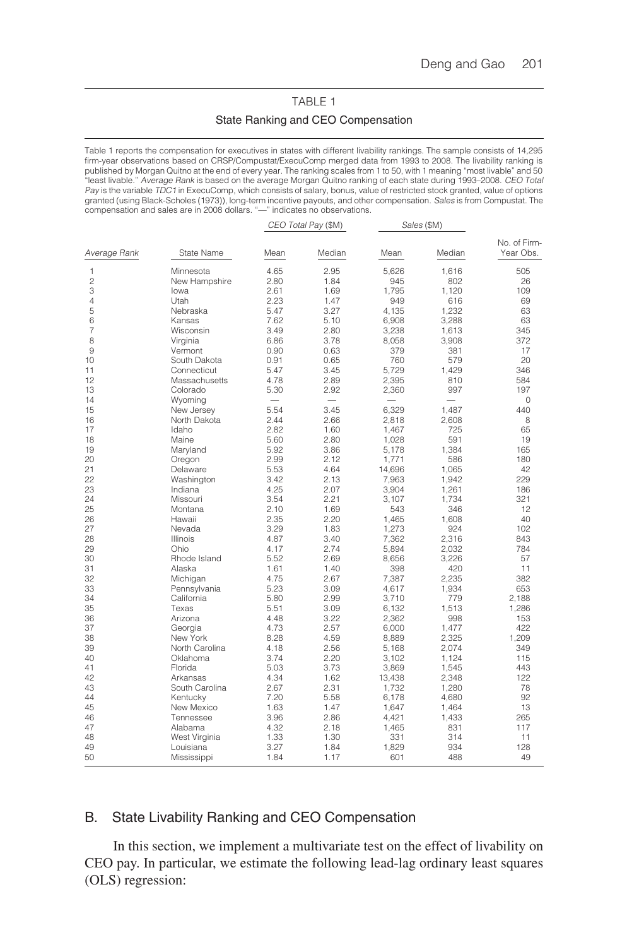# TABLE 1 State Ranking and CEO Compensation

Table 1 reports the compensation for executives in states with different livability rankings. The sample consists of 14,295 firm-year observations based on CRSP/Compustat/ExecuComp merged data from 1993 to 2008. The livability ranking is published by Morgan Quitno at the end of every year. The ranking scales from 1 to 50, with 1 meaning "most livable" and 50<br>"least livable." *Average Rank* is based on the average Morgan Quitno ranking of each state during Pay is the variable TDC1 in ExecuComp, which consists of salary, bonus, value of restricted stock granted, value of options granted (using Black-Scholes (1973)), long-term incentive payouts, and other compensation. Sales is from Compustat. The compensation and sales are in 2008 dollars. "—" indicates no observations.

|                |                   |                 | CEO Total Pay (\$M) | Sales (\$M)    |                          |              |
|----------------|-------------------|-----------------|---------------------|----------------|--------------------------|--------------|
|                |                   |                 |                     |                |                          | No. of Firm- |
| Average Rank   | <b>State Name</b> | Mean            | Median              | Mean           | Median                   | Year Obs.    |
| 1              | Minnesota         | 4.65            | 2.95                | 5,626          | 1,616                    | 505          |
| $\overline{c}$ | New Hampshire     | 2.80            | 1.84                | 945            | 802                      | 26           |
| 3              | lowa              | 2.61            | 1.69                | 1,795          | 1.120                    | 109          |
| 4              | Utah              | 2.23            | 1.47                | 949            | 616                      | 69           |
| 5              | Nebraska          | 5.47            | 3.27                | 4.135          | 1.232                    | 63           |
| 6              | Kansas            | 7.62            | 5.10                | 6,908          | 3,288                    | 63           |
| $\overline{7}$ | Wisconsin         | 3.49            | 2.80                | 3,238          | 1,613                    | 345          |
| 8              | Virginia          | 6.86            | 3.78                | 8.058          | 3.908                    | 372          |
| 9              | Vermont           | 0.90            | 0.63                | 379            | 381                      | 17           |
| 10             | South Dakota      | 0.91            | 0.65                | 760            | 579                      | 20           |
| 11             | Connecticut       | 5.47            | 3.45                | 5,729          | 1,429                    | 346          |
| 12             | Massachusetts     | 4.78            | 2.89                | 2,395          | 810                      | 584          |
| 13             | Colorado          | 5.30            | 2.92                | 2,360          | 997                      | 197          |
| 14             | Wyoming           | $\qquad \qquad$ |                     |                | $\overline{\phantom{0}}$ | 0            |
| 15             | New Jersey        | 5.54            | 3.45                | 6,329          | 1,487                    | 440          |
| 16             | North Dakota      | 2.44            | 2.66                | 2,818          | 2,608                    | 8            |
| 17             | Idaho             | 2.82            | 1.60                | 1,467          | 725                      | 65           |
| 18             | Maine             | 5.60            | 2.80                | 1.028          | 591                      | 19           |
| 19             | Maryland          | 5.92            | 3.86                | 5,178          | 1,384                    | 165          |
| 20             | Oregon            | 2.99            | 2.12                | 1.771          | 586                      | 180          |
| 21             | Delaware          | 5.53            | 4.64                | 14,696         | 1,065                    | 42           |
| 22             | Washington        | 3.42            | 2.13                | 7,963          | 1,942                    | 229          |
| 23             | Indiana           | 4.25            | 2.07                | 3,904          | 1,261                    | 186          |
| 24             | Missouri          | 3.54            | 2.21                | 3,107          | 1,734                    | 321          |
| 25             | Montana           | 2.10            | 1.69                | 543            | 346                      | 12           |
| 26             | Hawaii            | 2.35            | 2.20                | 1,465          | 1,608                    | 40           |
| 27             | Nevada            | 3.29            | 1.83                | 1,273          | 924                      | 102          |
| 28             | Illinois          | 4.87            | 3.40                | 7.362          | 2.316                    | 843          |
| 29             | Ohio              | 4.17            | 2.74                | 5,894          | 2,032                    | 784          |
| 30             | Rhode Island      | 5.52            | 2.69                | 8,656          | 3,226                    | 57           |
| 31             | Alaska            | 1.61            | 1.40                | 398            | 420                      | 11           |
| 32             | Michigan          | 4.75            | 2.67                | 7,387          | 2,235                    | 382          |
| 33             | Pennsylvania      | 5.23            | 3.09                | 4,617          | 1,934                    | 653          |
| 34             | California        | 5.80            | 2.99                | 3,710          | 779                      | 2,188        |
| 35             | Texas             | 5.51            | 3.09                | 6.132          | 1.513                    | 1,286        |
| 36             | Arizona           | 4.48            | 3.22                | 2,362          | 998                      | 153          |
| 37             | Georgia           | 4.73            | 2.57                | 6,000          | 1,477                    | 422          |
| 38             | New York          | 8.28            | 4.59                | 8,889          | 2,325                    | 1,209        |
| 39             | North Carolina    | 4.18            | 2.56                | 5,168          | 2,074                    | 349          |
| 40             | Oklahoma          | 3.74            | 2.20                | 3,102          | 1,124                    | 115          |
| 41             | Florida           | 5.03            | 3.73                | 3,869          | 1,545                    | 443          |
| 42             | Arkansas          | 4.34            | 1.62                | 13,438         | 2,348                    | 122          |
| 43             | South Carolina    | 2.67            | 2.31                | 1,732          | 1,280                    | 78           |
| 44             | Kentucky          | 7.20            | 5.58                |                | 4,680                    | 92           |
| 45             | New Mexico        | 1.63            | 1.47                | 6,178<br>1.647 | 1.464                    | 13           |
| 46             | Tennessee         | 3.96            | 2.86                | 4,421          | 1,433                    | 265          |
| 47             |                   |                 |                     |                |                          | 117          |
| 48             | Alabama           | 4.32            | 2.18<br>1.30        | 1,465          | 831                      | 11           |
| 49             | West Virginia     | 1.33            |                     | 331            | 314                      | 128          |
|                | Louisiana         | 3.27            | 1.84                | 1,829          | 934                      |              |
| 50             | Mississippi       | 1.84            | 1.17                | 601            | 488                      | 49           |

### B. State Livability Ranking and CEO Compensation

In this section, we implement a multivariate test on the effect of livability on CEO pay. In particular, we estimate the following lead-lag ordinary least squares (OLS) regression: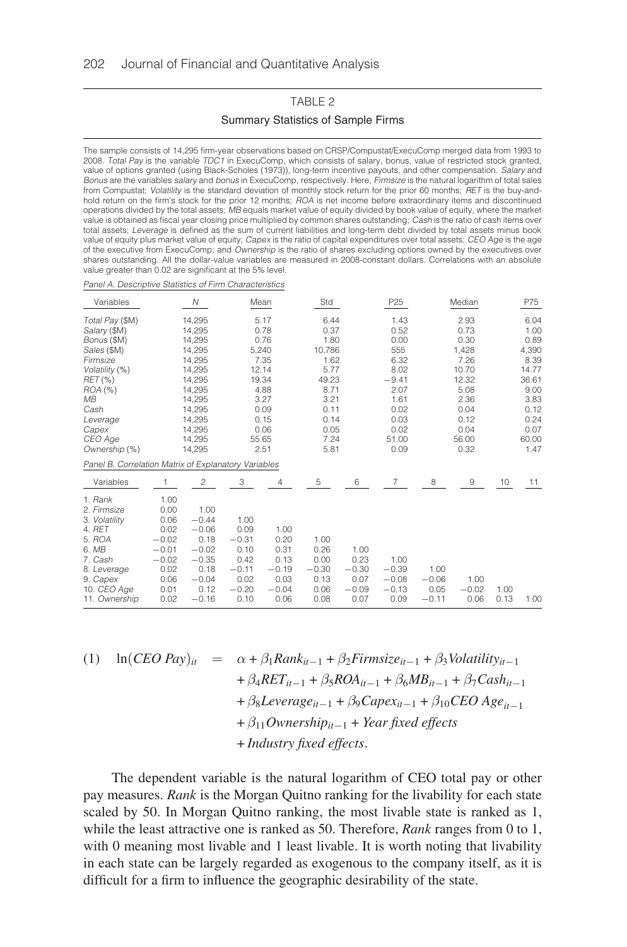### TABLE 2

### Summary Statistics of Sample Firms

The sample consists of 14,295 firm-year observations based on CRSP/Compustat/ExecuComp merged data from 1993 to 2008. Total Pay is the variable TDC1 in ExecuComp, which consists of salary, bonus, value of restricted stock granted, value of options granted (using Black-Scholes (1973)), long-term incentive payouts, and other compensation. Salary and Bonus are the variables salary and bonus in ExecuComp, respectively. Here, Firmsize is the natural logarithm of total sales from Compustat; Volatility is the standard deviation of monthly stock return for the prior 60 months; RET is the buy-andhold return on the firm's stock for the prior 12 months; ROA is net income before extraordinary items and discontinued operations divided by the total assets; MB equals market value of equity divided by book value of equity, where the market value is obtained as fiscal year closing price multiplied by common shares outstanding; Cash is the ratio of cash items over total assets; Leverage is defined as the sum of current liabilities and long-term debt divided by total assets minus book value of equity plus market value of equity; Capex is the ratio of capital expenditures over total assets; CEO Age is the age of the executive from ExecuComp; and Ownership is the ratio of shares excluding options owned by the executives over shares outstanding. All the dollar-value variables are measured in 2008-constant dollars. Correlations with an absolute value greater than 0.02 are significant at the 5% level.

Panel A. Descriptive Statistics of Firm Characteristics

| Variables                                            |         | N       |         | Mean    | Std     |         | P <sub>25</sub> |         | Median  |      | P75   |
|------------------------------------------------------|---------|---------|---------|---------|---------|---------|-----------------|---------|---------|------|-------|
| Total Pay (\$M)                                      |         | 14.295  |         | 5.17    | 6.44    |         | 1.43            |         | 2.93    |      | 6.04  |
| Salary (\$M)                                         |         | 14,295  |         | 0.78    | 0.37    |         | 0.52            |         | 0.73    |      | 1.00  |
| Bonus (\$M)                                          |         | 14,295  |         | 0.76    | 1.80    |         | 0.00            |         | 0.30    |      | 0.89  |
| Sales (\$M)                                          |         | 14,295  |         | 5,240   | 10,786  |         | 555             |         | 1,428   |      | 4,390 |
| Firmsize                                             |         | 14.295  |         | 7.35    | 1.62    |         | 6.32            |         | 7.26    |      | 8.39  |
| Volatility (%)                                       |         | 14.295  |         | 12.14   | 5.77    |         | 8.02            |         | 10.70   |      | 14.77 |
| RET (%)                                              |         | 14,295  |         | 19.34   | 49.23   |         | $-9.41$         |         | 12.32   |      | 36.61 |
| $ROA$ $%$                                            |         | 14,295  |         | 4.88    | 8.71    |         | 2.07            |         | 5.08    |      | 9.00  |
| MВ                                                   |         | 14,295  |         | 3.27    | 3.21    |         | 1.61            |         | 2.36    |      | 3.83  |
| Cash                                                 |         | 14,295  |         | 0.09    | 0.11    |         | 0.02            |         | 0.04    |      | 0.12  |
| Leverage                                             |         | 14.295  |         | 0.15    | 0.14    |         | 0.03            |         | 0.12    |      | 0.24  |
| Capex                                                |         | 14,295  |         | 0.06    | 0.05    |         | 0.02            |         | 0.04    |      | 0.07  |
| CEO Age                                              |         | 14.295  |         | 55.65   | 7.24    |         | 51.00           |         | 56.00   |      | 60.00 |
| Ownership (%)                                        |         | 14,295  |         | 2.51    | 5.81    |         | 0.09            |         | 0.32    |      | 1.47  |
| Panel B. Correlation Matrix of Explanatory Variables |         |         |         |         |         |         |                 |         |         |      |       |
| Variables                                            |         | 2       | 3       | 4       | 5       | 6       | $\overline{7}$  | 8       | 9       | 10   | 11    |
| 1. Rank                                              | 1.00    |         |         |         |         |         |                 |         |         |      |       |
| 2. Firmsize                                          | 0.00    | 1.00    |         |         |         |         |                 |         |         |      |       |
| 3. Volatility                                        | 0.06    | $-0.44$ | 1.00    |         |         |         |                 |         |         |      |       |
| 4. RET                                               | 0.02    | $-0.06$ | 0.09    | 1.00    |         |         |                 |         |         |      |       |
| 5. ROA                                               | $-0.02$ | 0.18    | $-0.31$ | 0.20    | 1.00    |         |                 |         |         |      |       |
| 6. MB                                                | $-0.01$ | $-0.02$ | 0.10    | 0.31    | 0.26    | 1.00    |                 |         |         |      |       |
| 7. Cash                                              | $-0.02$ | $-0.35$ | 0.42    | 0.13    | 0.00    | 0.23    | 1.00            |         |         |      |       |
| 8. Leverage                                          | 0.02    | 0.18    | $-0.11$ | $-0.19$ | $-0.30$ | $-0.30$ | $-0.39$         | 1.00    |         |      |       |
| 9. Capex                                             | 0.06    | $-0.04$ | 0.02    | 0.03    | 0.13    | 0.07    | $-0.08$         | $-0.06$ | 1.00    |      |       |
| 10. CEO Age                                          | 0.01    | 0.12    | $-0.20$ | $-0.04$ | 0.06    | $-0.09$ | $-0.13$         | 0.05    | $-0.02$ | 1.00 |       |
| 11. Ownership                                        | 0.02    | $-0.16$ | 0.10    | 0.06    | 0.08    | 0.07    | 0.09            | $-0.11$ | 0.06    | 0.13 | 1.00  |

$$
(1) \quad \ln(CEO\,\,Pav)_H
$$

(1) 
$$
\ln(CEO\ Pay)_{it} = \alpha + \beta_1 Rank_{it-1} + \beta_2 Firmsize_{it-1} + \beta_3 Volatility_{it-1} + \beta_4 RET_{it-1} + \beta_5 ROA_{it-1} + \beta_6 MB_{it-1} + \beta_7 Cash_{it-1} + \beta_8 Leverage_{it-1} + \beta_9 Capex_{it-1} + \beta_{10} CEO\ Age_{it-1} + \beta_{11} Ownership_{it-1} + Year fixed effects + Industry fixed effects.
$$

The dependent variable is the natural logarithm of CEO total pay or other pay measures. *Rank* is the Morgan Quitno ranking for the livability for each state scaled by 50. In Morgan Quitno ranking, the most livable state is ranked as 1, while the least attractive one is ranked as 50. Therefore, *Rank* ranges from 0 to 1, with 0 meaning most livable and 1 least livable. It is worth noting that livability in each state can be largely regarded as exogenous to the company itself, as it is difficult for a firm to influence the geographic desirability of the state.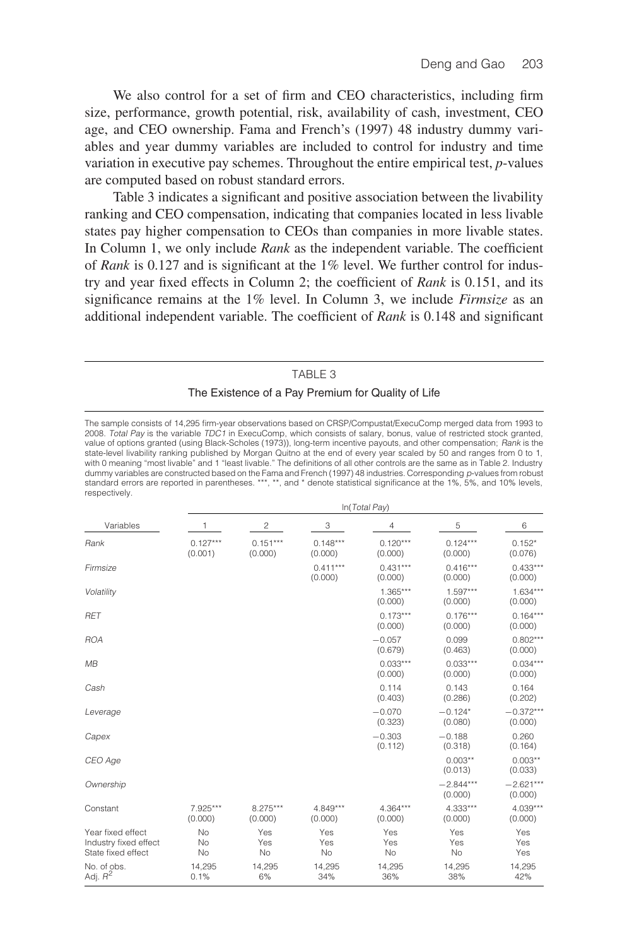We also control for a set of firm and CEO characteristics, including firm size, performance, growth potential, risk, availability of cash, investment, CEO age, and CEO ownership. Fama and French's (1997) 48 industry dummy variables and year dummy variables are included to control for industry and time variation in executive pay schemes. Throughout the entire empirical test, *p*-values are computed based on robust standard errors.

Table 3 indicates a significant and positive association between the livability ranking and CEO compensation, indicating that companies located in less livable states pay higher compensation to CEOs than companies in more livable states. In Column 1, we only include *Rank* as the independent variable. The coefficient of *Rank* is 0.127 and is significant at the 1% level. We further control for industry and year fixed effects in Column 2; the coefficient of *Rank* is 0.151, and its significance remains at the 1% level. In Column 3, we include *Firmsize* as an additional independent variable. The coefficient of *Rank* is 0.148 and significant

#### TABLE 3

#### The Existence of a Pay Premium for Quality of Life

The sample consists of 14,295 firm-year observations based on CRSP/Compustat/ExecuComp merged data from 1993 to<br>2008. *Total Pay* is the variable *TDC1* in ExecuComp, which consists of salary, bonus, value of restricted st value of options granted (using Black-Scholes (1973)), long-term incentive payouts, and other compensation; Rank is the state-level livability ranking published by Morgan Quitno at the end of every year scaled by 50 and ranges from 0 to 1,<br>with 0 meaning "most livable" and 1 "least livable." The definitions of all other controls are the sam dummy variables are constructed based on the Fama and French (1997) 48 industries. Corresponding p-values from robust standard errors are reported in parentheses. \*\*\*, \*\*, and \* denote statistical significance at the 1%, 5%, and 10% levels, respectively.

|                                                                  | In(Total Pay)         |                       |                       |                       |                        |                        |  |  |  |
|------------------------------------------------------------------|-----------------------|-----------------------|-----------------------|-----------------------|------------------------|------------------------|--|--|--|
| Variables                                                        | 1                     | 2                     | 3                     | 4                     | 5                      | 6                      |  |  |  |
| Rank                                                             | $0.127***$<br>(0.001) | $0.151***$<br>(0.000) | $0.148***$<br>(0.000) | $0.120***$<br>(0.000) | $0.124***$<br>(0.000)  | $0.152*$<br>(0.076)    |  |  |  |
| Firmsize                                                         |                       |                       | $0.411***$<br>(0.000) | $0.431***$<br>(0.000) | $0.416***$<br>(0.000)  | $0.433***$<br>(0.000)  |  |  |  |
| Volatility                                                       |                       |                       |                       | $1.365***$<br>(0.000) | $1.597***$<br>(0.000)  | $1.634***$<br>(0.000)  |  |  |  |
| <b>RET</b>                                                       |                       |                       |                       | $0.173***$<br>(0.000) | $0.176***$<br>(0.000)  | $0.164***$<br>(0.000)  |  |  |  |
| <b>ROA</b>                                                       |                       |                       |                       | $-0.057$<br>(0.679)   | 0.099<br>(0.463)       | $0.802***$<br>(0.000)  |  |  |  |
| MB                                                               |                       |                       |                       | $0.033***$<br>(0.000) | $0.033***$<br>(0.000)  | $0.034***$<br>(0.000)  |  |  |  |
| Cash                                                             |                       |                       |                       | 0.114<br>(0.403)      | 0.143<br>(0.286)       | 0.164<br>(0.202)       |  |  |  |
| Leverage                                                         |                       |                       |                       | $-0.070$<br>(0.323)   | $-0.124*$<br>(0.080)   | $-0.372***$<br>(0.000) |  |  |  |
| Capex                                                            |                       |                       |                       | $-0.303$<br>(0.112)   | $-0.188$<br>(0.318)    | 0.260<br>(0.164)       |  |  |  |
| CEO Age                                                          |                       |                       |                       |                       | $0.003**$<br>(0.013)   | $0.003**$<br>(0.033)   |  |  |  |
| Ownership                                                        |                       |                       |                       |                       | $-2.844***$<br>(0.000) | $-2.621***$<br>(0.000) |  |  |  |
| Constant                                                         | 7.925***<br>(0.000)   | 8.275***<br>(0.000)   | 4.849***<br>(0.000)   | 4.364***<br>(0.000)   | 4.333***<br>(0.000)    | $4.039***$<br>(0.000)  |  |  |  |
| Year fixed effect<br>Industry fixed effect<br>State fixed effect | No<br>No<br>No        | Yes<br>Yes<br>No      | Yes<br>Yes<br>No      | Yes<br>Yes<br>No      | Yes<br>Yes<br>No       | Yes<br>Yes<br>Yes      |  |  |  |
| No. of obs.<br>Adj. $R^2$                                        | 14,295<br>0.1%        | 14,295<br>6%          | 14,295<br>34%         | 14.295<br>36%         | 14.295<br>38%          | 14,295<br>42%          |  |  |  |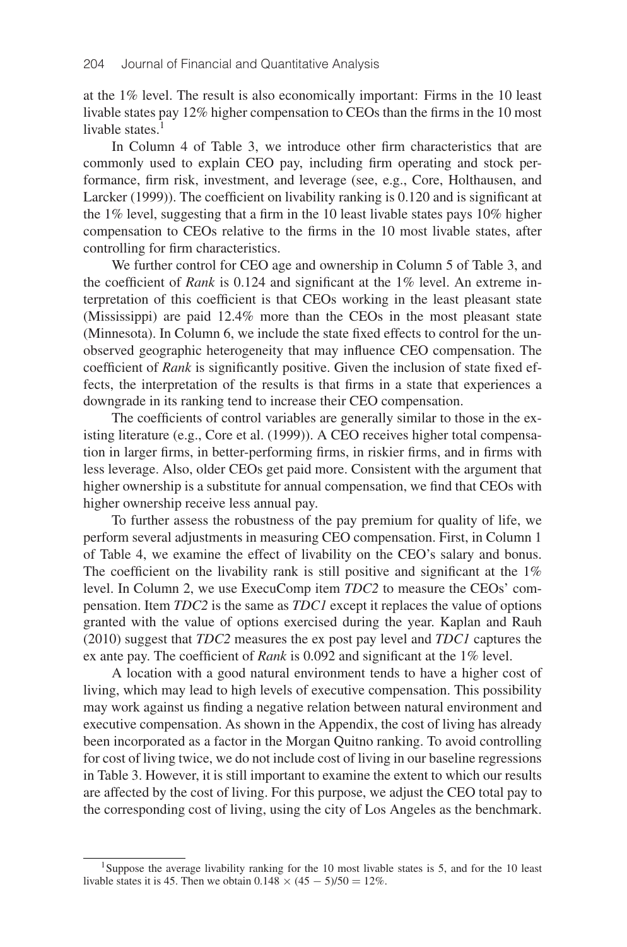at the 1% level. The result is also economically important: Firms in the 10 least livable states pay 12% higher compensation to CEOs than the firms in the 10 most livable states. $<sup>1</sup>$ </sup>

In Column 4 of Table 3, we introduce other firm characteristics that are commonly used to explain CEO pay, including firm operating and stock performance, firm risk, investment, and leverage (see, e.g., Core, Holthausen, and Larcker (1999)). The coefficient on livability ranking is 0.120 and is significant at the 1% level, suggesting that a firm in the 10 least livable states pays 10% higher compensation to CEOs relative to the firms in the 10 most livable states, after controlling for firm characteristics.

We further control for CEO age and ownership in Column 5 of Table 3, and the coefficient of *Rank* is 0.124 and significant at the 1% level. An extreme interpretation of this coefficient is that CEOs working in the least pleasant state (Mississippi) are paid 12.4% more than the CEOs in the most pleasant state (Minnesota). In Column 6, we include the state fixed effects to control for the unobserved geographic heterogeneity that may influence CEO compensation. The coefficient of *Rank* is significantly positive. Given the inclusion of state fixed effects, the interpretation of the results is that firms in a state that experiences a downgrade in its ranking tend to increase their CEO compensation.

The coefficients of control variables are generally similar to those in the existing literature (e.g., Core et al. (1999)). A CEO receives higher total compensation in larger firms, in better-performing firms, in riskier firms, and in firms with less leverage. Also, older CEOs get paid more. Consistent with the argument that higher ownership is a substitute for annual compensation, we find that CEOs with higher ownership receive less annual pay.

To further assess the robustness of the pay premium for quality of life, we perform several adjustments in measuring CEO compensation. First, in Column 1 of Table 4, we examine the effect of livability on the CEO's salary and bonus. The coefficient on the livability rank is still positive and significant at the 1% level. In Column 2, we use ExecuComp item *TDC2* to measure the CEOs' compensation. Item *TDC2* is the same as *TDC1* except it replaces the value of options granted with the value of options exercised during the year. Kaplan and Rauh (2010) suggest that *TDC2* measures the ex post pay level and *TDC1* captures the ex ante pay. The coefficient of *Rank* is 0.092 and significant at the 1% level.

A location with a good natural environment tends to have a higher cost of living, which may lead to high levels of executive compensation. This possibility may work against us finding a negative relation between natural environment and executive compensation. As shown in the Appendix, the cost of living has already been incorporated as a factor in the Morgan Quitno ranking. To avoid controlling for cost of living twice, we do not include cost of living in our baseline regressions in Table 3. However, it is still important to examine the extent to which our results are affected by the cost of living. For this purpose, we adjust the CEO total pay to the corresponding cost of living, using the city of Los Angeles as the benchmark.

<sup>1</sup>Suppose the average livability ranking for the 10 most livable states is 5, and for the 10 least livable states it is 45. Then we obtain  $0.148 \times (45 - 5)/50 = 12\%$ .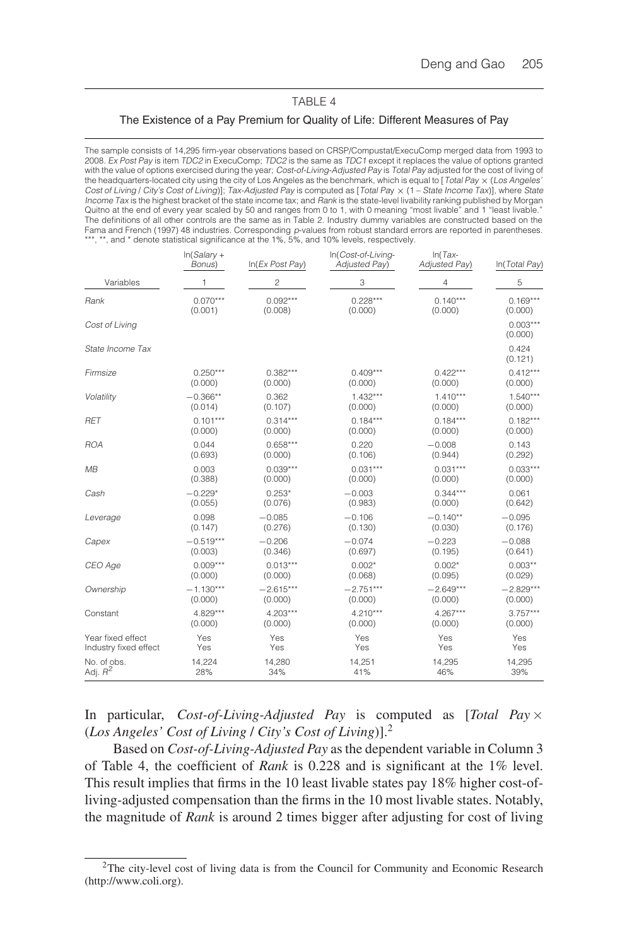### TABLE 4

#### The Existence of a Pay Premium for Quality of Life: Different Measures of Pay

The sample consists of 14,295 firm-year observations based on CRSP/Compustat/ExecuComp merged data from 1993 to 2008. Ex Post Pay is item TDC2 in ExecuComp; TDC2 is the same as TDC1 except it replaces the value of options granted with the value of options exercised during the year; Cost-of-Living-Adjusted Pay is Total Pay adjusted for the cost of living of the headquarters-located city using the city of Los Angeles as the benchmark, which is equal to [Total Pay  $\times$  (Los Angeles' Cost of Living / City's Cost of Living)]; Tax-Adjusted Pay is computed as [Total Pay × (1 – State Income Tax)], where State Income Tax is the highest bracket of the state income tax; and Rank is the state-level livability ranking published by Morgan Quitno at the end of every year scaled by 50 and ranges from 0 to 1, with 0 meaning "most livable" and 1 "least livable." The definitions of all other controls are the same as in Table 2. Industry dummy variables are constructed based on the Fama and French (1997) 48 industries. Corresponding *p*-values from robust standard errors are reported in parentheses.<br>\*\*\*, \*\*, and \* denote statistical significance at the 1%, 5%, and 10% levels, respectively.

|                       | $In(Salary +$<br>Bonus) | In(Ex Post Pay) | In(Cost-of-Living-<br>Adjusted Pay) | $In (Tax-$<br>Adjusted Pay) | In(Total Pay)         |
|-----------------------|-------------------------|-----------------|-------------------------------------|-----------------------------|-----------------------|
| Variables             | 1                       | $\overline{c}$  | 3                                   | 4                           | 5                     |
| Rank                  | $0.070***$              | $0.092***$      | $0.228***$                          | $0.140***$                  | $0.169***$            |
|                       | (0.001)                 | (0.008)         | (0.000)                             | (0.000)                     | (0.000)               |
| Cost of Living        |                         |                 |                                     |                             | $0.003***$<br>(0.000) |
| State Income Tax      |                         |                 |                                     |                             | 0.424<br>(0.121)      |
| Firmsize              | $0.250***$              | $0.382***$      | $0.409***$                          | $0.422***$                  | $0.412***$            |
|                       | (0.000)                 | (0.000)         | (0.000)                             | (0.000)                     | (0.000)               |
| Volatility            | $-0.366**$              | 0.362           | $1.432***$                          | $1.410***$                  | $1.540***$            |
|                       | (0.014)                 | (0.107)         | (0.000)                             | (0.000)                     | (0.000)               |
| <b>RET</b>            | $0.101***$              | $0.314***$      | $0.184***$                          | $0.184***$                  | $0.182***$            |
|                       | (0.000)                 | (0.000)         | (0.000)                             | (0.000)                     | (0.000)               |
| <b>ROA</b>            | 0.044                   | $0.658***$      | 0.220                               | $-0.008$                    | 0.143                 |
|                       | (0.693)                 | (0.000)         | (0.106)                             | (0.944)                     | (0.292)               |
| MB                    | 0.003                   | $0.039***$      | $0.031***$                          | $0.031***$                  | $0.033***$            |
|                       | (0.388)                 | (0.000)         | (0.000)                             | (0.000)                     | (0.000)               |
| Cash                  | $-0.229*$               | $0.253*$        | $-0.003$                            | $0.344***$                  | 0.061                 |
|                       | (0.055)                 | (0.076)         | (0.983)                             | (0.000)                     | (0.642)               |
| Leverage              | 0.098                   | $-0.085$        | $-0.106$                            | $-0.140**$                  | $-0.095$              |
|                       | (0.147)                 | (0.276)         | (0.130)                             | (0.030)                     | (0.176)               |
| Capex                 | $-0.519***$             | $-0.206$        | $-0.074$                            | $-0.223$                    | $-0.088$              |
|                       | (0.003)                 | (0.346)         | (0.697)                             | (0.195)                     | (0.641)               |
| CEO Age               | $0.009***$              | $0.013***$      | $0.002*$                            | $0.002*$                    | $0.003**$             |
|                       | (0.000)                 | (0.000)         | (0.068)                             | (0.095)                     | (0.029)               |
| Ownership             | $-1.130***$             | $-2.615***$     | $-2.751***$                         | $-2.649***$                 | $-2.829***$           |
|                       | (0.000)                 | (0.000)         | (0.000)                             | (0.000)                     | (0.000)               |
| Constant              | $4.829***$              | $4.203***$      | $4.210***$                          | $4.267***$                  | $3.757***$            |
|                       | (0.000)                 | (0.000)         | (0.000)                             | (0.000)                     | (0.000)               |
| Year fixed effect     | Yes                     | Yes             | Yes                                 | Yes                         | Yes                   |
| Industry fixed effect | Yes                     | Yes             | Yes                                 | Yes                         | Yes                   |
| No. of obs.           | 14,224                  | 14,280          | 14,251                              | 14,295                      | 14,295                |
| Adj. $R^2$            | 28%                     | 34%             | 41%                                 | 46%                         | 39%                   |

In particular, *Cost-of-Living-Adjusted Pay* is computed as [*Total Pay* × (*Los Angeles' Cost of Living* / *City's Cost of Living*)].2

Based on *Cost-of-Living-Adjusted Pay* as the dependent variable in Column 3 of Table 4, the coefficient of *Rank* is 0.228 and is significant at the 1% level. This result implies that firms in the 10 least livable states pay 18% higher cost-ofliving-adjusted compensation than the firms in the 10 most livable states. Notably, the magnitude of *Rank* is around 2 times bigger after adjusting for cost of living

<sup>&</sup>lt;sup>2</sup>The city-level cost of living data is from the Council for Community and Economic Research (http://www.coli.org).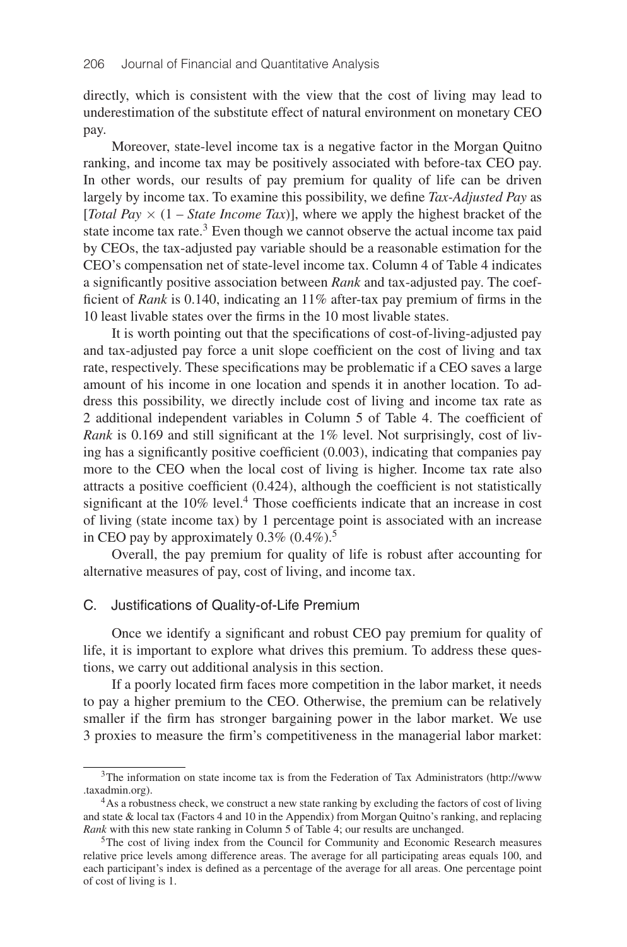directly, which is consistent with the view that the cost of living may lead to underestimation of the substitute effect of natural environment on monetary CEO pay.

Moreover, state-level income tax is a negative factor in the Morgan Quitno ranking, and income tax may be positively associated with before-tax CEO pay. In other words, our results of pay premium for quality of life can be driven largely by income tax. To examine this possibility, we define *Tax-Adjusted Pay* as [*Total Pay*  $\times$  (1 – *State Income Tax*)], where we apply the highest bracket of the state income tax rate. $3$  Even though we cannot observe the actual income tax paid by CEOs, the tax-adjusted pay variable should be a reasonable estimation for the CEO's compensation net of state-level income tax. Column 4 of Table 4 indicates a significantly positive association between *Rank* and tax-adjusted pay. The coefficient of *Rank* is 0.140, indicating an 11% after-tax pay premium of firms in the 10 least livable states over the firms in the 10 most livable states.

It is worth pointing out that the specifications of cost-of-living-adjusted pay and tax-adjusted pay force a unit slope coefficient on the cost of living and tax rate, respectively. These specifications may be problematic if a CEO saves a large amount of his income in one location and spends it in another location. To address this possibility, we directly include cost of living and income tax rate as 2 additional independent variables in Column 5 of Table 4. The coefficient of *Rank* is 0.169 and still significant at the 1% level. Not surprisingly, cost of living has a significantly positive coefficient (0.003), indicating that companies pay more to the CEO when the local cost of living is higher. Income tax rate also attracts a positive coefficient (0.424), although the coefficient is not statistically significant at the 10% level.<sup>4</sup> Those coefficients indicate that an increase in cost of living (state income tax) by 1 percentage point is associated with an increase in CEO pay by approximately  $0.3\%$  ( $0.4\%$ ).<sup>5</sup>

Overall, the pay premium for quality of life is robust after accounting for alternative measures of pay, cost of living, and income tax.

# C. Justifications of Quality-of-Life Premium

Once we identify a significant and robust CEO pay premium for quality of life, it is important to explore what drives this premium. To address these questions, we carry out additional analysis in this section.

If a poorly located firm faces more competition in the labor market, it needs to pay a higher premium to the CEO. Otherwise, the premium can be relatively smaller if the firm has stronger bargaining power in the labor market. We use 3 proxies to measure the firm's competitiveness in the managerial labor market:

 $3$ The information on state income tax is from the Federation of Tax Administrators (http://www .taxadmin.org).

<sup>&</sup>lt;sup>4</sup>As a robustness check, we construct a new state ranking by excluding the factors of cost of living and state & local tax (Factors 4 and 10 in the Appendix) from Morgan Quitno's ranking, and replacing *Rank* with this new state ranking in Column 5 of Table 4; our results are unchanged.

<sup>5</sup>The cost of living index from the Council for Community and Economic Research measures relative price levels among difference areas. The average for all participating areas equals 100, and each participant's index is defined as a percentage of the average for all areas. One percentage point of cost of living is 1.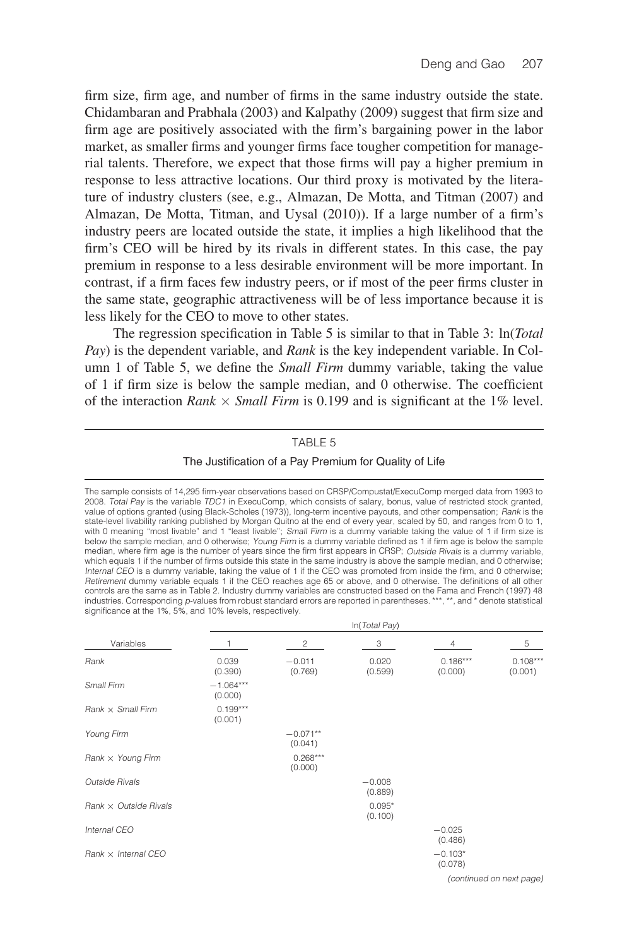firm size, firm age, and number of firms in the same industry outside the state. Chidambaran and Prabhala (2003) and Kalpathy (2009) suggest that firm size and firm age are positively associated with the firm's bargaining power in the labor market, as smaller firms and younger firms face tougher competition for managerial talents. Therefore, we expect that those firms will pay a higher premium in response to less attractive locations. Our third proxy is motivated by the literature of industry clusters (see, e.g., Almazan, De Motta, and Titman (2007) and Almazan, De Motta, Titman, and Uysal (2010)). If a large number of a firm's industry peers are located outside the state, it implies a high likelihood that the firm's CEO will be hired by its rivals in different states. In this case, the pay premium in response to a less desirable environment will be more important. In contrast, if a firm faces few industry peers, or if most of the peer firms cluster in the same state, geographic attractiveness will be of less importance because it is less likely for the CEO to move to other states.

The regression specification in Table 5 is similar to that in Table 3: ln(*Total Pay*) is the dependent variable, and *Rank* is the key independent variable. In Column 1 of Table 5, we define the *Small Firm* dummy variable, taking the value of 1 if firm size is below the sample median, and 0 otherwise. The coefficient of the interaction *Rank*  $\times$  *Small Firm* is 0.199 and is significant at the 1% level.

#### TABLE 5

### The Justification of a Pay Premium for Quality of Life

The sample consists of 14,295 firm-year observations based on CRSP/Compustat/ExecuComp merged data from 1993 to 2008. Total Pay is the variable TDC1 in ExecuComp, which consists of salary, bonus, value of restricted stock granted, value of options granted (using Black-Scholes (1973)), long-term incentive payouts, and other compensation; Rank is the state-level livability ranking published by Morgan Quitno at the end of every year, scaled by 50, and ranges from 0 to 1,<br>with 0 meaning "most livable" and 1 "least livable"; S*mall Firm* is a dummy variable taking the val median, where firm age is the number of years since the firm first appears in CRSP; Outside Rivals is a dummy variable, which equals 1 if the number of firms outside this state in the same industry is above the sample median, and 0 otherwise; Internal CEO is a dummy variable, taking the value of 1 if the CEO was promoted from inside the firm, and 0 otherwise; Retirement dummy variable equals 1 if the CEO reaches age 65 or above, and 0 otherwise. The definitions of all other controls are the same as in Table 2. Industry dummy variables are constructed based on the Fama and French (1997) 48 industries. Corresponding p-values from robust standard errors are reported in parentheses. \*\*\*, \*\*, and \* denote statistical significance at the 1%, 5%, and 10% levels, respectively.

ln(Total Pay)

|                              |                        |                       | $\mathbb{H}$ ( <i>I</i> Uldi Fdy) |                       |                       |
|------------------------------|------------------------|-----------------------|-----------------------------------|-----------------------|-----------------------|
| Variables                    |                        | 2                     | 3                                 | $\overline{4}$        | 5                     |
| Rank                         | 0.039<br>(0.390)       | $-0.011$<br>(0.769)   | 0.020<br>(0.599)                  | $0.186***$<br>(0.000) | $0.108***$<br>(0.001) |
| Small Firm                   | $-1.064***$<br>(0.000) |                       |                                   |                       |                       |
| $Rank \times Small$ Firm     | $0.199***$<br>(0.001)  |                       |                                   |                       |                       |
| Young Firm                   |                        | $-0.071**$<br>(0.041) |                                   |                       |                       |
| Rank $\times$ Young Firm     |                        | $0.268***$<br>(0.000) |                                   |                       |                       |
| Outside Rivals               |                        |                       | $-0.008$<br>(0.889)               |                       |                       |
| $Rank \times Outside$ Rivals |                        |                       | $0.095*$<br>(0.100)               |                       |                       |
| Internal CEO                 |                        |                       |                                   | $-0.025$<br>(0.486)   |                       |
| $Rank \times Internal$ CEO   |                        |                       |                                   | $-0.103*$<br>(0.078)  |                       |
|                              |                        |                       |                                   |                       |                       |

(continued on next page)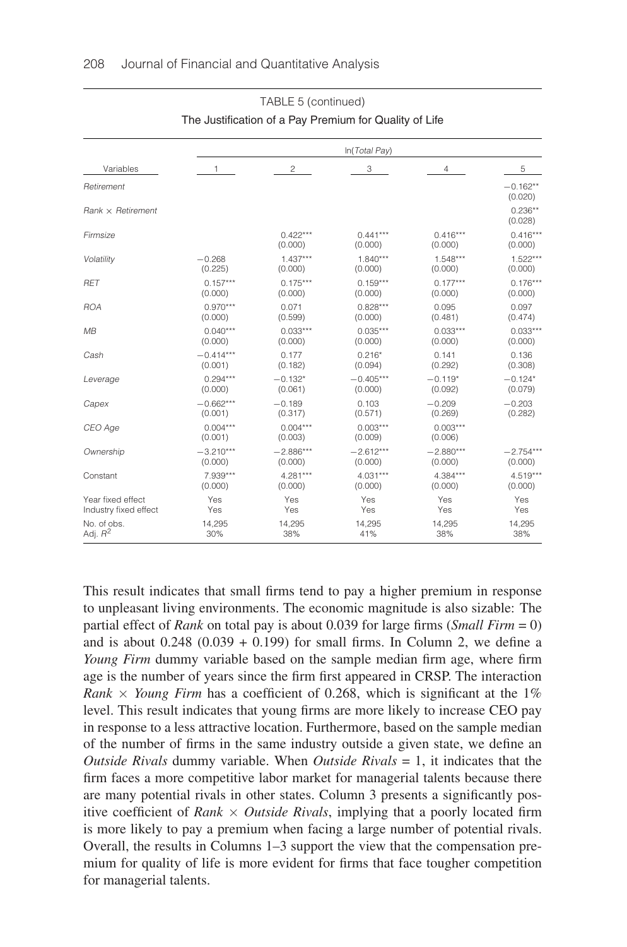|                          | In(Total Pay)         |                       |                       |                       |                       |  |  |  |  |
|--------------------------|-----------------------|-----------------------|-----------------------|-----------------------|-----------------------|--|--|--|--|
| Variables                | 1                     | $\overline{c}$        | 3                     | 4                     | 5                     |  |  |  |  |
| Retirement               |                       |                       |                       |                       | $-0.162**$<br>(0.020) |  |  |  |  |
| $Rank \times Retirement$ |                       |                       |                       |                       | $0.236**$<br>(0.028)  |  |  |  |  |
| Firmsize                 |                       | $0.422***$<br>(0.000) | $0.441***$<br>(0.000) | $0.416***$<br>(0.000) | $0.416***$<br>(0.000) |  |  |  |  |
| Volatility               | $-0.268$              | $1.437***$            | $1.840***$            | $1.548***$            | $1.522***$            |  |  |  |  |
|                          | (0.225)               | (0.000)               | (0.000)               | (0.000)               | (0.000)               |  |  |  |  |
| <b>RET</b>               | $0.157***$            | $0.175***$            | $0.159***$            | $0.177***$            | $0.176***$            |  |  |  |  |
|                          | (0.000)               | (0.000)               | (0.000)               | (0.000)               | (0.000)               |  |  |  |  |
| <b>ROA</b>               | $0.970***$            | 0.071                 | $0.828***$            | 0.095                 | 0.097                 |  |  |  |  |
|                          | (0.000)               | (0.599)               | (0.000)               | (0.481)               | (0.474)               |  |  |  |  |
| MB                       | $0.040***$            | $0.033***$            | $0.035***$            | $0.033***$            | $0.033***$            |  |  |  |  |
|                          | (0.000)               | (0.000)               | (0.000)               | (0.000)               | (0.000)               |  |  |  |  |
| Cash                     | $-0.414***$           | 0.177                 | $0.216*$              | 0.141                 | 0.136                 |  |  |  |  |
|                          | (0.001)               | (0.182)               | (0.094)               | (0.292)               | (0.308)               |  |  |  |  |
| Leverage                 | $0.294***$            | $-0.132*$             | $-0.405***$           | $-0.119*$             | $-0.124*$             |  |  |  |  |
|                          | (0.000)               | (0.061)               | (0.000)               | (0.092)               | (0.079)               |  |  |  |  |
| Capex                    | $-0.662***$           | $-0.189$              | 0.103                 | $-0.209$              | $-0.203$              |  |  |  |  |
|                          | (0.001)               | (0.317)               | (0.571)               | (0.269)               | (0.282)               |  |  |  |  |
| CEO Age                  | $0.004***$<br>(0.001) | $0.004***$<br>(0.003) | $0.003***$<br>(0.009) | $0.003***$<br>(0.006) |                       |  |  |  |  |
| Ownership                | $-3.210***$           | $-2.886***$           | $-2.612***$           | $-2.880***$           | $-2.754***$           |  |  |  |  |
|                          | (0.000)               | (0.000)               | (0.000)               | (0.000)               | (0.000)               |  |  |  |  |
| Constant                 | 7.939***              | $4.281***$            | $4.031***$            | $4.384***$            | $4.519***$            |  |  |  |  |
|                          | (0.000)               | (0.000)               | (0.000)               | (0.000)               | (0.000)               |  |  |  |  |
| Year fixed effect        | Yes                   | Yes                   | Yes                   | Yes                   | Yes                   |  |  |  |  |
| Industry fixed effect    | Yes                   | Yes                   | Yes                   | Yes                   | Yes                   |  |  |  |  |
| No. of obs.              | 14,295                | 14,295                | 14.295                | 14,295                | 14,295                |  |  |  |  |
| Adj. $R^2$               | 30%                   | 38%                   | 41%                   | 38%                   | 38%                   |  |  |  |  |

# TABLE 5 (continued) The Justification of a Pay Premium for Quality of Life

This result indicates that small firms tend to pay a higher premium in response to unpleasant living environments. The economic magnitude is also sizable: The partial effect of *Rank* on total pay is about 0.039 for large firms (*Small Firm* = 0) and is about  $0.248$  ( $0.039 + 0.199$ ) for small firms. In Column 2, we define a *Young Firm* dummy variable based on the sample median firm age, where firm age is the number of years since the firm first appeared in CRSP. The interaction *Rank*  $\times$  *Young Firm* has a coefficient of 0.268, which is significant at the 1% level. This result indicates that young firms are more likely to increase CEO pay in response to a less attractive location. Furthermore, based on the sample median of the number of firms in the same industry outside a given state, we define an *Outside Rivals* dummy variable. When *Outside Rivals* = 1, it indicates that the firm faces a more competitive labor market for managerial talents because there are many potential rivals in other states. Column 3 presents a significantly positive coefficient of *Rank*  $\times$  *Outside Rivals*, implying that a poorly located firm is more likely to pay a premium when facing a large number of potential rivals. Overall, the results in Columns 1–3 support the view that the compensation premium for quality of life is more evident for firms that face tougher competition for managerial talents.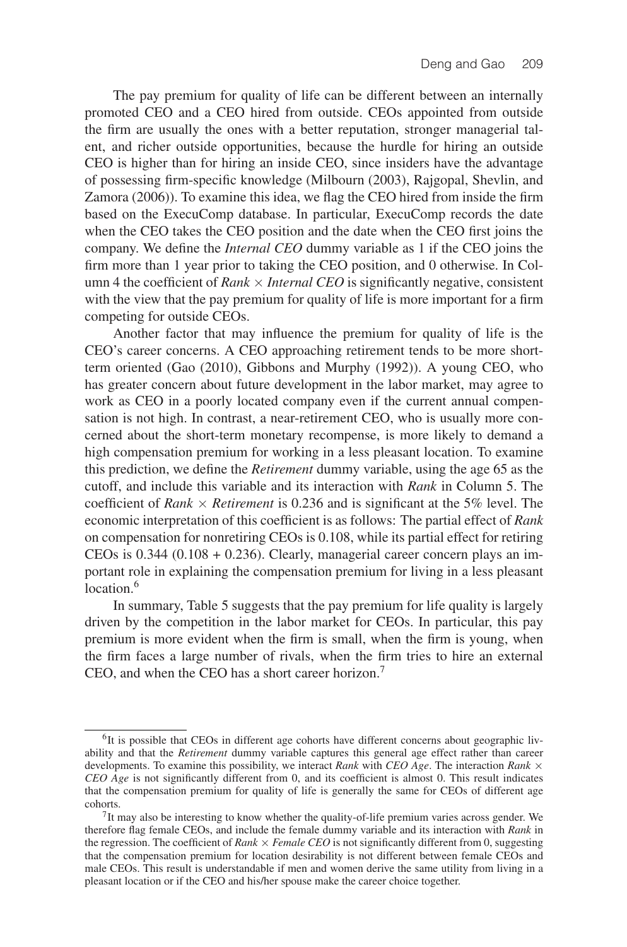The pay premium for quality of life can be different between an internally promoted CEO and a CEO hired from outside. CEOs appointed from outside the firm are usually the ones with a better reputation, stronger managerial talent, and richer outside opportunities, because the hurdle for hiring an outside CEO is higher than for hiring an inside CEO, since insiders have the advantage of possessing firm-specific knowledge (Milbourn (2003), Rajgopal, Shevlin, and Zamora (2006)). To examine this idea, we flag the CEO hired from inside the firm based on the ExecuComp database. In particular, ExecuComp records the date when the CEO takes the CEO position and the date when the CEO first joins the company. We define the *Internal CEO* dummy variable as 1 if the CEO joins the firm more than 1 year prior to taking the CEO position, and 0 otherwise. In Column 4 the coefficient of *Rank*  $\times$  *Internal CEO* is significantly negative, consistent with the view that the pay premium for quality of life is more important for a firm competing for outside CEOs.

Another factor that may influence the premium for quality of life is the CEO's career concerns. A CEO approaching retirement tends to be more shortterm oriented (Gao (2010), Gibbons and Murphy (1992)). A young CEO, who has greater concern about future development in the labor market, may agree to work as CEO in a poorly located company even if the current annual compensation is not high. In contrast, a near-retirement CEO, who is usually more concerned about the short-term monetary recompense, is more likely to demand a high compensation premium for working in a less pleasant location. To examine this prediction, we define the *Retirement* dummy variable, using the age 65 as the cutoff, and include this variable and its interaction with *Rank* in Column 5. The coefficient of *Rank*  $\times$  *Retirement* is 0.236 and is significant at the 5% level. The economic interpretation of this coefficient is as follows: The partial effect of *Rank* on compensation for nonretiring CEOs is 0.108, while its partial effect for retiring CEOs is  $0.344$  ( $0.108 + 0.236$ ). Clearly, managerial career concern plays an important role in explaining the compensation premium for living in a less pleasant location.<sup>6</sup>

In summary, Table 5 suggests that the pay premium for life quality is largely driven by the competition in the labor market for CEOs. In particular, this pay premium is more evident when the firm is small, when the firm is young, when the firm faces a large number of rivals, when the firm tries to hire an external CEO, and when the CEO has a short career horizon.7

 ${}^{6}$ It is possible that CEOs in different age cohorts have different concerns about geographic livability and that the *Retirement* dummy variable captures this general age effect rather than career developments. To examine this possibility, we interact *Rank* with *CEO Age*. The interaction *Rank* × *CEO Age* is not significantly different from 0, and its coefficient is almost 0. This result indicates that the compensation premium for quality of life is generally the same for CEOs of different age cohorts.

 $<sup>7</sup>$ It may also be interesting to know whether the quality-of-life premium varies across gender. We</sup> therefore flag female CEOs, and include the female dummy variable and its interaction with *Rank* in the regression. The coefficient of *Rank*  $\times$  *Female CEO* is not significantly different from 0, suggesting that the compensation premium for location desirability is not different between female CEOs and male CEOs. This result is understandable if men and women derive the same utility from living in a pleasant location or if the CEO and his/her spouse make the career choice together.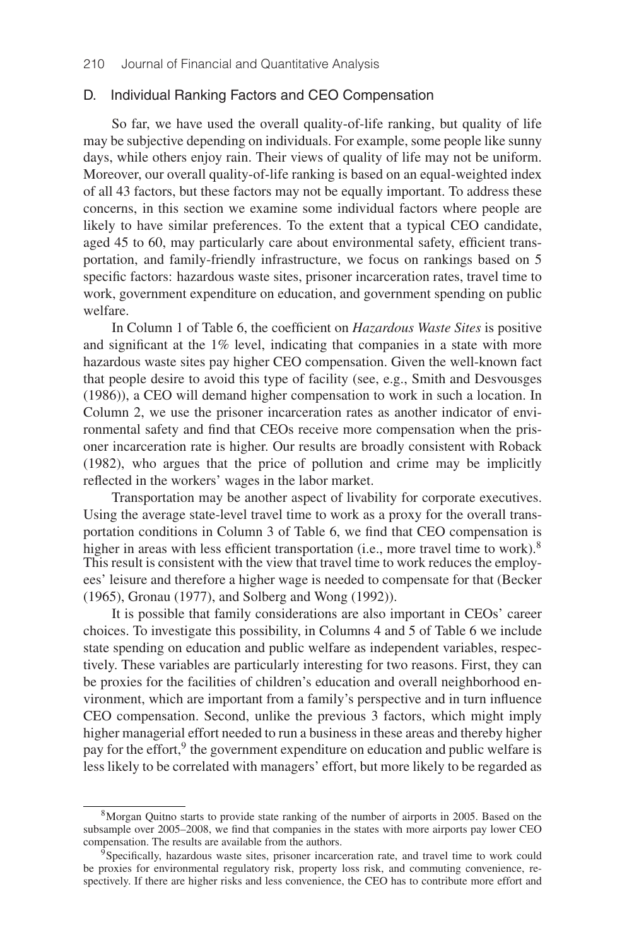### D. Individual Ranking Factors and CEO Compensation

So far, we have used the overall quality-of-life ranking, but quality of life may be subjective depending on individuals. For example, some people like sunny days, while others enjoy rain. Their views of quality of life may not be uniform. Moreover, our overall quality-of-life ranking is based on an equal-weighted index of all 43 factors, but these factors may not be equally important. To address these concerns, in this section we examine some individual factors where people are likely to have similar preferences. To the extent that a typical CEO candidate, aged 45 to 60, may particularly care about environmental safety, efficient transportation, and family-friendly infrastructure, we focus on rankings based on 5 specific factors: hazardous waste sites, prisoner incarceration rates, travel time to work, government expenditure on education, and government spending on public welfare.

In Column 1 of Table 6, the coefficient on *Hazardous Waste Sites* is positive and significant at the 1% level, indicating that companies in a state with more hazardous waste sites pay higher CEO compensation. Given the well-known fact that people desire to avoid this type of facility (see, e.g., Smith and Desvousges (1986)), a CEO will demand higher compensation to work in such a location. In Column 2, we use the prisoner incarceration rates as another indicator of environmental safety and find that CEOs receive more compensation when the prisoner incarceration rate is higher. Our results are broadly consistent with Roback (1982), who argues that the price of pollution and crime may be implicitly reflected in the workers' wages in the labor market.

Transportation may be another aspect of livability for corporate executives. Using the average state-level travel time to work as a proxy for the overall transportation conditions in Column 3 of Table 6, we find that CEO compensation is higher in areas with less efficient transportation (i.e., more travel time to work).<sup>8</sup> This result is consistent with the view that travel time to work reduces the employees' leisure and therefore a higher wage is needed to compensate for that (Becker (1965), Gronau (1977), and Solberg and Wong (1992)).

It is possible that family considerations are also important in CEOs' career choices. To investigate this possibility, in Columns 4 and 5 of Table 6 we include state spending on education and public welfare as independent variables, respectively. These variables are particularly interesting for two reasons. First, they can be proxies for the facilities of children's education and overall neighborhood environment, which are important from a family's perspective and in turn influence CEO compensation. Second, unlike the previous 3 factors, which might imply higher managerial effort needed to run a business in these areas and thereby higher pay for the effort,  $9$  the government expenditure on education and public welfare is less likely to be correlated with managers' effort, but more likely to be regarded as

<sup>8</sup>Morgan Quitno starts to provide state ranking of the number of airports in 2005. Based on the subsample over 2005–2008, we find that companies in the states with more airports pay lower CEO compensation. The results are available from the authors.

<sup>&</sup>lt;sup>9</sup>Specifically, hazardous waste sites, prisoner incarceration rate, and travel time to work could be proxies for environmental regulatory risk, property loss risk, and commuting convenience, respectively. If there are higher risks and less convenience, the CEO has to contribute more effort and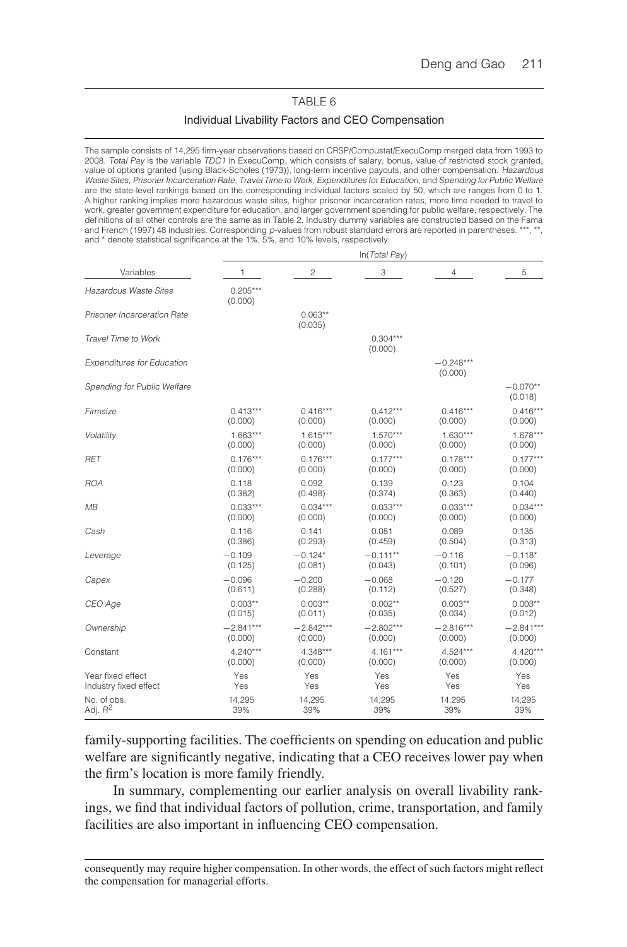### TABLE 6

#### Individual Livability Factors and CEO Compensation

The sample consists of 14,295 firm-year observations based on CRSP/Compustat/ExecuComp merged data from 1993 to 2008. Total Pay is the variable TDC1 in ExecuComp, which consists of salary, bonus, value of restricted stock granted, value of options granted (using Black-Scholes (1973)), long-term incentive payouts, and other compensation. Hazardous Waste Sites, Prisoner Incarceration Rate, Travel Time to Work, Expenditures for Education, and Spending for Public Welfare are the state-level rankings based on the corresponding individual factors scaled by 50, which are ranges from 0 to 1. A higher ranking implies more hazardous waste sites, higher prisoner incarceration rates, more time needed to travel to work, greater government expenditure for education, and larger government spending for public welfare, respectively. The definitions of all other controls are the same as in Table 2. Industry dummy variables are constructed based on the Fama and French (1997) 48 industries. Corresponding p-values from robust standard errors are reported in parentheses. \*\*\*, \*\*, and \* denote statistical significance at the 1%, 5%, and 10% levels, respectively.

ln(Total Pay)

|                                   | $\cdots$              |                      |                       |                        |                       |  |  |
|-----------------------------------|-----------------------|----------------------|-----------------------|------------------------|-----------------------|--|--|
| Variables                         | 1                     | $\overline{c}$       | 3                     | 4                      | 5                     |  |  |
| Hazardous Waste Sites             | $0.205***$<br>(0.000) |                      |                       |                        |                       |  |  |
| Prisoner Incarceration Rate       |                       | $0.063**$<br>(0.035) |                       |                        |                       |  |  |
| Travel Time to Work               |                       |                      | $0.304***$<br>(0.000) |                        |                       |  |  |
| <b>Expenditures for Education</b> |                       |                      |                       | $-0.248***$<br>(0.000) |                       |  |  |
| Spending for Public Welfare       |                       |                      |                       |                        | $-0.070**$<br>(0.018) |  |  |
| Firmsize                          | $0.413***$            | $0.416***$           | $0.412***$            | $0.416***$             | $0.416***$            |  |  |
|                                   | (0.000)               | (0.000)              | (0.000)               | (0.000)                | (0.000)               |  |  |
| Volatility                        | $1.663***$            | $1.615***$           | $1.570***$            | $1.630***$             | $1.678***$            |  |  |
|                                   | (0.000)               | (0.000)              | (0.000)               | (0.000)                | (0.000)               |  |  |
| <b>RET</b>                        | $0.176***$            | $0.176***$           | $0.177***$            | $0.178***$             | $0.177***$            |  |  |
|                                   | (0.000)               | (0.000)              | (0.000)               | (0.000)                | (0.000)               |  |  |
| <b>ROA</b>                        | 0.118                 | 0.092                | 0.139                 | 0.123                  | 0.104                 |  |  |
|                                   | (0.382)               | (0.498)              | (0.374)               | (0.363)                | (0.440)               |  |  |
| MВ                                | $0.033***$            | $0.034***$           | $0.033***$            | $0.033***$             | $0.034***$            |  |  |
|                                   | (0.000)               | (0.000)              | (0.000)               | (0.000)                | (0.000)               |  |  |
| Cash                              | 0.116                 | 0.141                | 0.081                 | 0.089                  | 0.135                 |  |  |
|                                   | (0.386)               | (0.293)              | (0.459)               | (0.504)                | (0.313)               |  |  |
| Leverage                          | $-0.109$              | $-0.124*$            | $-0.111**$            | $-0.116$               | $-0.118*$             |  |  |
|                                   | (0.125)               | (0.081)              | (0.043)               | (0.101)                | (0.096)               |  |  |
| Capex                             | $-0.096$              | $-0.200$             | $-0.068$              | $-0.120$               | $-0.177$              |  |  |
|                                   | (0.611)               | (0.288)              | (0.112)               | (0.527)                | (0.348)               |  |  |
| CEO Age                           | $0.003**$             | $0.003**$            | $0.002**$             | $0.003**$              | $0.003**$             |  |  |
|                                   | (0.015)               | (0.011)              | (0.035)               | (0.034)                | (0.012)               |  |  |
| Ownership                         | $-2.841***$           | $-2.842***$          | $-2.802***$           | $-2.816***$            | $-2.841***$           |  |  |
|                                   | (0.000)               | (0.000)              | (0.000)               | (0.000)                | (0.000)               |  |  |
| Constant                          | $4.240***$            | 4.348***             | $4.161***$            | 4.524***               | $4.420***$            |  |  |
|                                   | (0.000)               | (0.000)              | (0.000)               | (0.000)                | (0.000)               |  |  |
| Year fixed effect                 | Yes                   | Yes                  | Yes                   | Yes                    | Yes                   |  |  |
| Industry fixed effect             | Yes                   | Yes                  | Yes                   | Yes                    | Yes                   |  |  |
| No. of obs.                       | 14,295                | 14,295               | 14,295                | 14,295                 | 14,295                |  |  |
| Adj. $R^2$                        | 39%                   | 39%                  | 39%                   | 39%                    | 39%                   |  |  |

family-supporting facilities. The coefficients on spending on education and public welfare are significantly negative, indicating that a CEO receives lower pay when the firm's location is more family friendly.

In summary, complementing our earlier analysis on overall livability rankings, we find that individual factors of pollution, crime, transportation, and family facilities are also important in influencing CEO compensation.

consequently may require higher compensation. In other words, the effect of such factors might reflect the compensation for managerial efforts.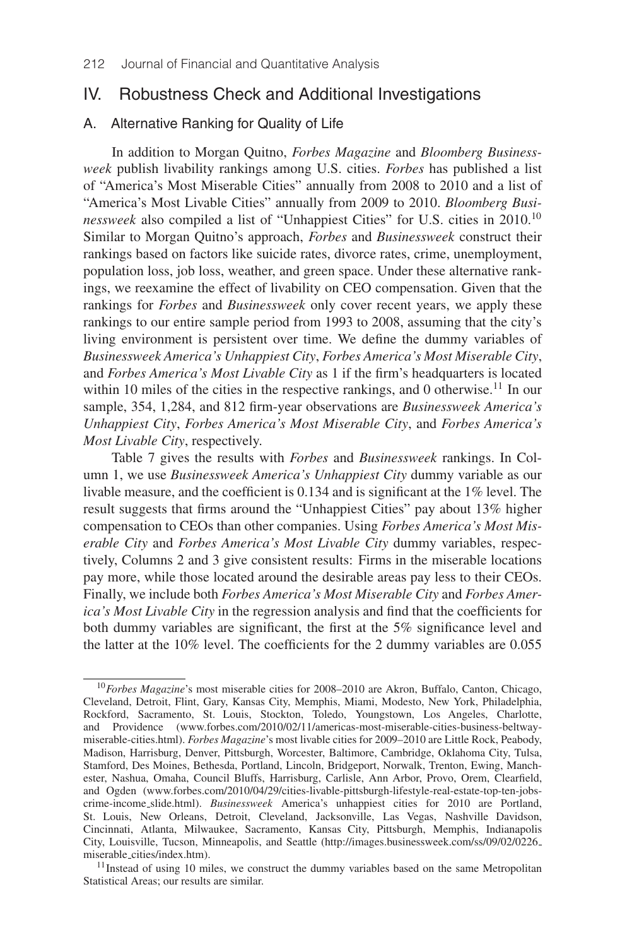# IV. Robustness Check and Additional Investigations

# A. Alternative Ranking for Quality of Life

In addition to Morgan Quitno, *Forbes Magazine* and *Bloomberg Businessweek* publish livability rankings among U.S. cities. *Forbes* has published a list of "America's Most Miserable Cities" annually from 2008 to 2010 and a list of "America's Most Livable Cities" annually from 2009 to 2010. *Bloomberg Businessweek* also compiled a list of "Unhappiest Cities" for U.S. cities in 2010.<sup>10</sup> Similar to Morgan Quitno's approach, *Forbes* and *Businessweek* construct their rankings based on factors like suicide rates, divorce rates, crime, unemployment, population loss, job loss, weather, and green space. Under these alternative rankings, we reexamine the effect of livability on CEO compensation. Given that the rankings for *Forbes* and *Businessweek* only cover recent years, we apply these rankings to our entire sample period from 1993 to 2008, assuming that the city's living environment is persistent over time. We define the dummy variables of *Businessweek America's Unhappiest City*, *Forbes America's Most Miserable City*, and *Forbes America's Most Livable City* as 1 if the firm's headquarters is located within 10 miles of the cities in the respective rankings, and 0 otherwise.<sup>11</sup> In our sample, 354, 1,284, and 812 firm-year observations are *Businessweek America's Unhappiest City*, *Forbes America's Most Miserable City*, and *Forbes America's Most Livable City*, respectively.

Table 7 gives the results with *Forbes* and *Businessweek* rankings. In Column 1, we use *Businessweek America's Unhappiest City* dummy variable as our livable measure, and the coefficient is 0.134 and is significant at the 1% level. The result suggests that firms around the "Unhappiest Cities" pay about 13% higher compensation to CEOs than other companies. Using *Forbes America's Most Miserable City* and *Forbes America's Most Livable City* dummy variables, respectively, Columns 2 and 3 give consistent results: Firms in the miserable locations pay more, while those located around the desirable areas pay less to their CEOs. Finally, we include both *Forbes America's Most Miserable City* and *Forbes America's Most Livable City* in the regression analysis and find that the coefficients for both dummy variables are significant, the first at the 5% significance level and the latter at the 10% level. The coefficients for the 2 dummy variables are 0.055

 $11$ Instead of using 10 miles, we construct the dummy variables based on the same Metropolitan Statistical Areas; our results are similar.

<sup>10</sup>*Forbes Magazine*'s most miserable cities for 2008–2010 are Akron, Buffalo, Canton, Chicago, Cleveland, Detroit, Flint, Gary, Kansas City, Memphis, Miami, Modesto, New York, Philadelphia, Rockford, Sacramento, St. Louis, Stockton, Toledo, Youngstown, Los Angeles, Charlotte, and Providence (www.forbes.com/2010/02/11/americas-most-miserable-cities-business-beltwaymiserable-cities.html). *Forbes Magazine*'s most livable cities for 2009–2010 are Little Rock, Peabody, Madison, Harrisburg, Denver, Pittsburgh, Worcester, Baltimore, Cambridge, Oklahoma City, Tulsa, Stamford, Des Moines, Bethesda, Portland, Lincoln, Bridgeport, Norwalk, Trenton, Ewing, Manchester, Nashua, Omaha, Council Bluffs, Harrisburg, Carlisle, Ann Arbor, Provo, Orem, Clearfield, and Ogden (www.forbes.com/2010/04/29/cities-livable-pittsburgh-lifestyle-real-estate-top-ten-jobscrime-income slide.html). *Businessweek* America's unhappiest cities for 2010 are Portland, St. Louis, New Orleans, Detroit, Cleveland, Jacksonville, Las Vegas, Nashville Davidson, Cincinnati, Atlanta, Milwaukee, Sacramento, Kansas City, Pittsburgh, Memphis, Indianapolis City, Louisville, Tucson, Minneapolis, and Seattle (http://images.businessweek.com/ss/09/02/0226 miserable cities/index.htm).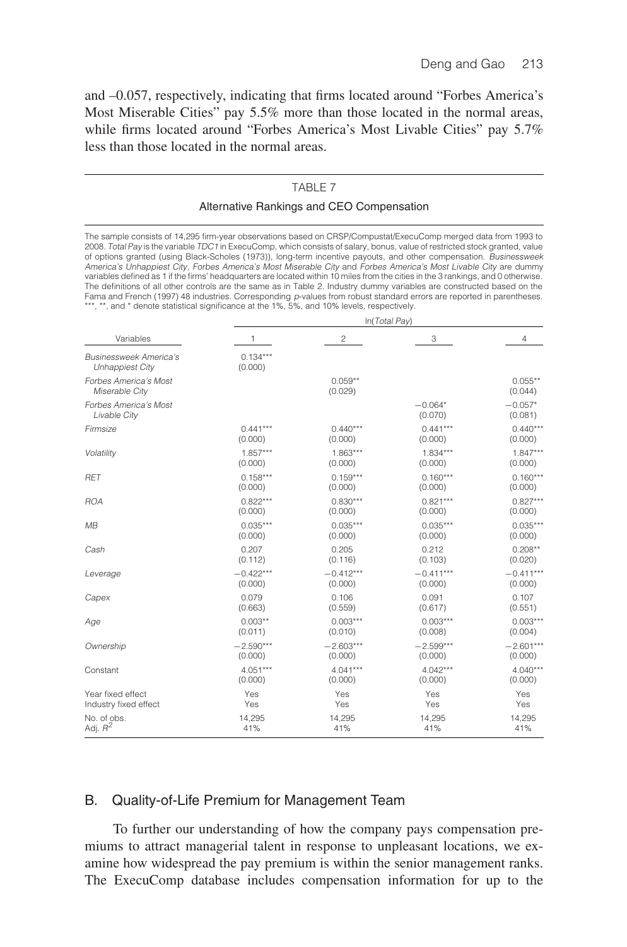and –0.057, respectively, indicating that firms located around "Forbes America's Most Miserable Cities" pay 5.5% more than those located in the normal areas, while firms located around "Forbes America's Most Livable Cities" pay 5.7% less than those located in the normal areas.

# TABLE 7

### Alternative Rankings and CEO Compensation

The sample consists of 14,295 firm-year observations based on CRSP/Compustat/ExecuComp merged data from 1993 to 2008. Total Pay is the variable TDC1 in ExecuComp, which consists of salary, bonus, value of restricted stock granted, value of options granted (using Black-Scholes (1973)), long-term incentive payouts, and other compensation. Businessweek America's Unhappiest City, Forbes America's Most Miserable City and Forbes America's Most Livable City are dummy variables defined as 1 if the firms' headquarters are located within 10 miles from the cities in the 3 rankings, and 0 otherwise. The definitions of all other controls are the same as in Table 2. Industry dummy variables are constructed based on the Fama and French (1997) 48 industries. Corresponding p-values from robust standard errors are reported in parentheses. \*\*\*, \*\*, and \* denote statistical significance at the 1%, 5%, and 10% levels, respectively.

|                                                         | In(Total Pay)         |                      |                      |                      |  |  |  |
|---------------------------------------------------------|-----------------------|----------------------|----------------------|----------------------|--|--|--|
| Variables                                               | 1                     | 2                    | 3                    | $\overline{4}$       |  |  |  |
| <b>Businessweek America's</b><br><b>Unhappiest City</b> | $0.134***$<br>(0.000) |                      |                      |                      |  |  |  |
| Forbes America's Most<br>Miserable City                 |                       | $0.059**$<br>(0.029) |                      | $0.055**$<br>(0.044) |  |  |  |
| Forbes America's Most<br>Livable City                   |                       |                      | $-0.064*$<br>(0.070) | $-0.057*$<br>(0.081) |  |  |  |
| Firmsize                                                | $0.441***$            | $0.440***$           | $0.441***$           | $0.440***$           |  |  |  |
|                                                         | (0.000)               | (0.000)              | (0.000)              | (0.000)              |  |  |  |
| Volatility                                              | $1.857***$            | $1.863***$           | $1.834***$           | $1.847***$           |  |  |  |
|                                                         | (0.000)               | (0.000)              | (0.000)              | (0.000)              |  |  |  |
| <b>RET</b>                                              | $0.158***$            | $0.159***$           | $0.160***$           | $0.160***$           |  |  |  |
|                                                         | (0.000)               | (0.000)              | (0.000)              | (0.000)              |  |  |  |
| <b>ROA</b>                                              | $0.822***$            | $0.830***$           | $0.821***$           | $0.827***$           |  |  |  |
|                                                         | (0.000)               | (0.000)              | (0.000)              | (0.000)              |  |  |  |
| MB                                                      | $0.035***$            | $0.035***$           | $0.035***$           | $0.035***$           |  |  |  |
|                                                         | (0.000)               | (0.000)              | (0.000)              | (0.000)              |  |  |  |
| Cash                                                    | 0.207                 | 0.205                | 0.212                | $0.208**$            |  |  |  |
|                                                         | (0.112)               | (0.116)              | (0.103)              | (0.020)              |  |  |  |
| Leverage                                                | $-0.422***$           | $-0.412***$          | $-0.411***$          | $-0.411***$          |  |  |  |
|                                                         | (0.000)               | (0.000)              | (0.000)              | (0.000)              |  |  |  |
| Capex                                                   | 0.079                 | 0.106                | 0.091                | 0.107                |  |  |  |
|                                                         | (0.663)               | (0.559)              | (0.617)              | (0.551)              |  |  |  |
| Age                                                     | $0.003**$             | $0.003***$           | $0.003***$           | $0.003***$           |  |  |  |
|                                                         | (0.011)               | (0.010)              | (0.008)              | (0.004)              |  |  |  |
| Ownership                                               | $-2.590***$           | $-2.603***$          | $-2.599***$          | $-2.601***$          |  |  |  |
|                                                         | (0.000)               | (0.000)              | (0.000)              | (0.000)              |  |  |  |
| Constant                                                | $4.051***$            | $4.041***$           | $4.042***$           | $4.040***$           |  |  |  |
|                                                         | (0.000)               | (0.000)              | (0.000)              | (0.000)              |  |  |  |
| Year fixed effect                                       | Yes                   | Yes                  | Yes                  | Yes                  |  |  |  |
| Industry fixed effect                                   | Yes                   | Yes                  | Yes                  | Yes                  |  |  |  |
| No. of obs.                                             | 14,295                | 14,295               | 14,295               | 14,295               |  |  |  |
| Adj. $R^2$                                              | 41%                   | 41%                  | 41%                  | 41%                  |  |  |  |

### B. Quality-of-Life Premium for Management Team

To further our understanding of how the company pays compensation premiums to attract managerial talent in response to unpleasant locations, we examine how widespread the pay premium is within the senior management ranks. The ExecuComp database includes compensation information for up to the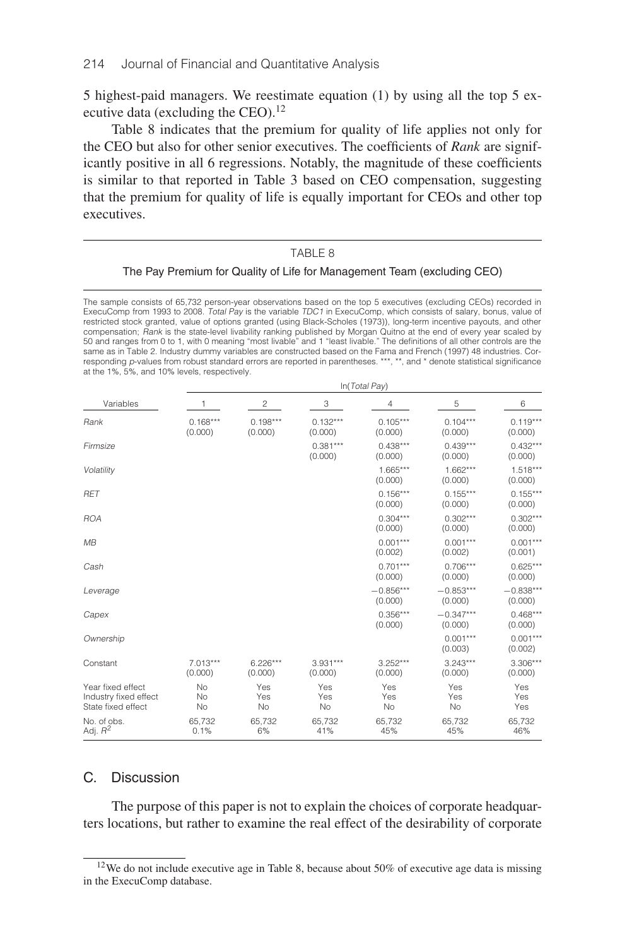5 highest-paid managers. We reestimate equation (1) by using all the top 5 executive data (excluding the CEO).<sup>12</sup>

Table 8 indicates that the premium for quality of life applies not only for the CEO but also for other senior executives. The coefficients of *Rank* are significantly positive in all 6 regressions. Notably, the magnitude of these coefficients is similar to that reported in Table 3 based on CEO compensation, suggesting that the premium for quality of life is equally important for CEOs and other top executives.

#### TABLE 8

#### The Pay Premium for Quality of Life for Management Team (excluding CEO)

The sample consists of 65,732 person-year observations based on the top 5 executives (excluding CEOs) recorded in ExecuComp from 1993 to 2008. Total Pay is the variable TDC1 in ExecuComp, which consists of salary, bonus, value of restricted stock granted, value of options granted (using Black-Scholes (1973)), long-term incentive payouts, and other compensation; *Rank* is the state-level livability ranking published by Morgan Quitno at the end of every year scaled by<br>50 and ranges from 0 to 1, with 0 meaning "most livable" and 1 "least livable." The definitions of al same as in Table 2. Industry dummy variables are constructed based on the Fama and French (1997) 48 industries. Corresponding p-values from robust standard errors are reported in parentheses. \*\*\*, \*\*, and \* denote statistical significance at the 1%, 5%, and 10% levels, respectively.

|                                                                  | In(Total Pay)         |                       |                       |                        |                        |                        |  |  |  |
|------------------------------------------------------------------|-----------------------|-----------------------|-----------------------|------------------------|------------------------|------------------------|--|--|--|
| Variables                                                        |                       | 2                     | 3                     | 4                      | 5                      | 6                      |  |  |  |
| Rank                                                             | $0.168***$<br>(0.000) | $0.198***$<br>(0.000) | $0.132***$<br>(0.000) | $0.105***$<br>(0.000)  | $0.104***$<br>(0.000)  | $0.119***$<br>(0.000)  |  |  |  |
| Firmsize                                                         |                       |                       | $0.381***$<br>(0.000) | $0.438***$<br>(0.000)  | $0.439***$<br>(0.000)  | $0.432***$<br>(0.000)  |  |  |  |
| Volatility                                                       |                       |                       |                       | $1.665***$<br>(0.000)  | $1.662***$<br>(0.000)  | $1.518***$<br>(0.000)  |  |  |  |
| <b>RET</b>                                                       |                       |                       |                       | $0.156***$<br>(0.000)  | $0.155***$<br>(0.000)  | $0.155***$<br>(0.000)  |  |  |  |
| <b>ROA</b>                                                       |                       |                       |                       | $0.304***$<br>(0.000)  | $0.302***$<br>(0.000)  | $0.302***$<br>(0.000)  |  |  |  |
| MB                                                               |                       |                       |                       | $0.001***$<br>(0.002)  | $0.001***$<br>(0.002)  | $0.001***$<br>(0.001)  |  |  |  |
| Cash                                                             |                       |                       |                       | $0.701***$<br>(0.000)  | $0.706***$<br>(0.000)  | $0.625***$<br>(0.000)  |  |  |  |
| Leverage                                                         |                       |                       |                       | $-0.856***$<br>(0.000) | $-0.853***$<br>(0.000) | $-0.838***$<br>(0.000) |  |  |  |
| Capex                                                            |                       |                       |                       | $0.356***$<br>(0.000)  | $-0.347***$<br>(0.000) | $0.468***$<br>(0.000)  |  |  |  |
| Ownership                                                        |                       |                       |                       |                        | $0.001***$<br>(0.003)  | $0.001***$<br>(0.002)  |  |  |  |
| Constant                                                         | $7.013***$<br>(0.000) | $6.226***$<br>(0.000) | $3.931***$<br>(0.000) | $3.252***$<br>(0.000)  | $3.243***$<br>(0.000)  | $3.306***$<br>(0.000)  |  |  |  |
| Year fixed effect<br>Industry fixed effect<br>State fixed effect | No<br>No<br>No        | Yes<br>Yes<br>No      | Yes<br>Yes<br>No      | Yes<br>Yes<br>No       | Yes<br>Yes<br>No       | Yes<br>Yes<br>Yes      |  |  |  |
| No. of obs.<br>Adj. $R^2$                                        | 65,732<br>0.1%        | 65,732<br>6%          | 65,732<br>41%         | 65,732<br>45%          | 65,732<br>45%          | 65,732<br>46%          |  |  |  |

# C. Discussion

The purpose of this paper is not to explain the choices of corporate headquarters locations, but rather to examine the real effect of the desirability of corporate

<sup>12</sup>We do not include executive age in Table 8, because about 50% of executive age data is missing in the ExecuComp database.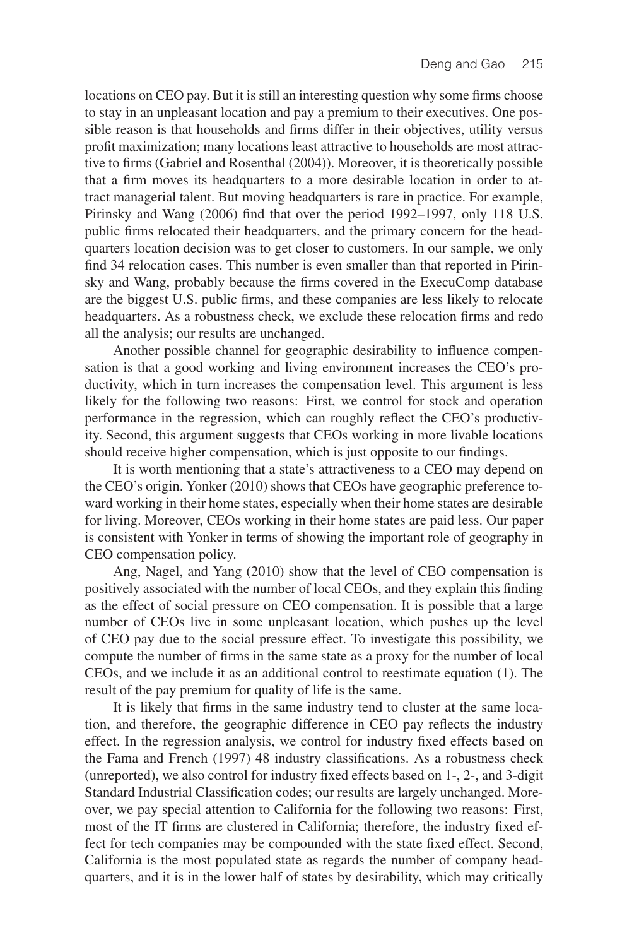locations on CEO pay. But it is still an interesting question why some firms choose to stay in an unpleasant location and pay a premium to their executives. One possible reason is that households and firms differ in their objectives, utility versus profit maximization; many locations least attractive to households are most attractive to firms (Gabriel and Rosenthal (2004)). Moreover, it is theoretically possible that a firm moves its headquarters to a more desirable location in order to attract managerial talent. But moving headquarters is rare in practice. For example, Pirinsky and Wang (2006) find that over the period 1992–1997, only 118 U.S. public firms relocated their headquarters, and the primary concern for the headquarters location decision was to get closer to customers. In our sample, we only find 34 relocation cases. This number is even smaller than that reported in Pirinsky and Wang, probably because the firms covered in the ExecuComp database are the biggest U.S. public firms, and these companies are less likely to relocate headquarters. As a robustness check, we exclude these relocation firms and redo all the analysis; our results are unchanged.

Another possible channel for geographic desirability to influence compensation is that a good working and living environment increases the CEO's productivity, which in turn increases the compensation level. This argument is less likely for the following two reasons: First, we control for stock and operation performance in the regression, which can roughly reflect the CEO's productivity. Second, this argument suggests that CEOs working in more livable locations should receive higher compensation, which is just opposite to our findings.

It is worth mentioning that a state's attractiveness to a CEO may depend on the CEO's origin. Yonker (2010) shows that CEOs have geographic preference toward working in their home states, especially when their home states are desirable for living. Moreover, CEOs working in their home states are paid less. Our paper is consistent with Yonker in terms of showing the important role of geography in CEO compensation policy.

Ang, Nagel, and Yang (2010) show that the level of CEO compensation is positively associated with the number of local CEOs, and they explain this finding as the effect of social pressure on CEO compensation. It is possible that a large number of CEOs live in some unpleasant location, which pushes up the level of CEO pay due to the social pressure effect. To investigate this possibility, we compute the number of firms in the same state as a proxy for the number of local CEOs, and we include it as an additional control to reestimate equation (1). The result of the pay premium for quality of life is the same.

It is likely that firms in the same industry tend to cluster at the same location, and therefore, the geographic difference in CEO pay reflects the industry effect. In the regression analysis, we control for industry fixed effects based on the Fama and French (1997) 48 industry classifications. As a robustness check (unreported), we also control for industry fixed effects based on 1-, 2-, and 3-digit Standard Industrial Classification codes; our results are largely unchanged. Moreover, we pay special attention to California for the following two reasons: First, most of the IT firms are clustered in California; therefore, the industry fixed effect for tech companies may be compounded with the state fixed effect. Second, California is the most populated state as regards the number of company headquarters, and it is in the lower half of states by desirability, which may critically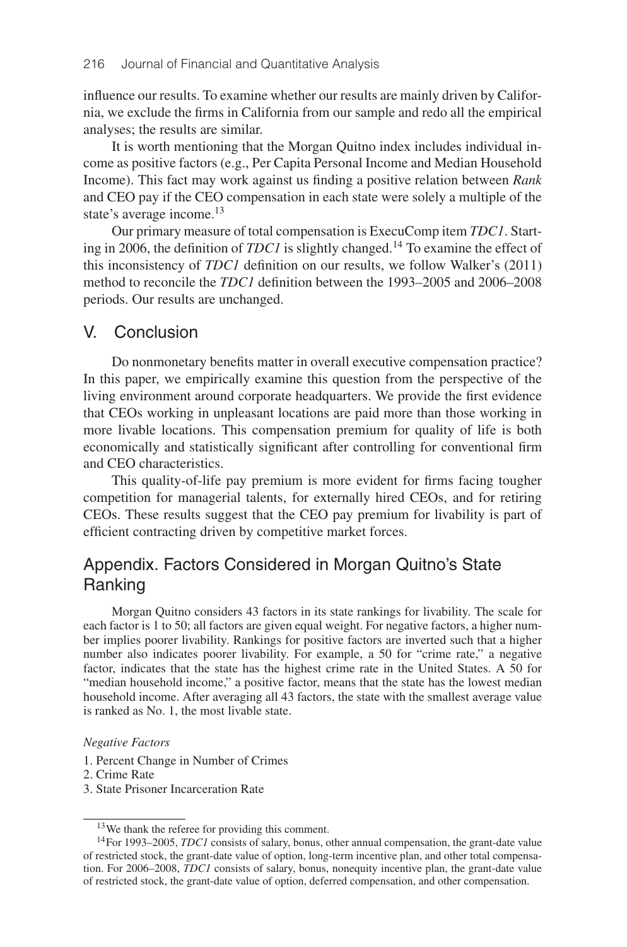influence our results. To examine whether our results are mainly driven by California, we exclude the firms in California from our sample and redo all the empirical analyses; the results are similar.

It is worth mentioning that the Morgan Quitno index includes individual income as positive factors (e.g., Per Capita Personal Income and Median Household Income). This fact may work against us finding a positive relation between *Rank* and CEO pay if the CEO compensation in each state were solely a multiple of the state's average income.<sup>13</sup>

Our primary measure of total compensation is ExecuComp item *TDC1*. Starting in 2006, the definition of *TDC1* is slightly changed.<sup>14</sup> To examine the effect of this inconsistency of *TDC1* definition on our results, we follow Walker's (2011) method to reconcile the *TDC1* definition between the 1993–2005 and 2006–2008 periods. Our results are unchanged.

# V. Conclusion

Do nonmonetary benefits matter in overall executive compensation practice? In this paper, we empirically examine this question from the perspective of the living environment around corporate headquarters. We provide the first evidence that CEOs working in unpleasant locations are paid more than those working in more livable locations. This compensation premium for quality of life is both economically and statistically significant after controlling for conventional firm and CEO characteristics.

This quality-of-life pay premium is more evident for firms facing tougher competition for managerial talents, for externally hired CEOs, and for retiring CEOs. These results suggest that the CEO pay premium for livability is part of efficient contracting driven by competitive market forces.

# Appendix. Factors Considered in Morgan Quitno's State Ranking

Morgan Quitno considers 43 factors in its state rankings for livability. The scale for each factor is 1 to 50; all factors are given equal weight. For negative factors, a higher number implies poorer livability. Rankings for positive factors are inverted such that a higher number also indicates poorer livability. For example, a 50 for "crime rate," a negative factor, indicates that the state has the highest crime rate in the United States. A 50 for "median household income," a positive factor, means that the state has the lowest median household income. After averaging all 43 factors, the state with the smallest average value is ranked as No. 1, the most livable state.

### *Negative Factors*

- 1. Percent Change in Number of Crimes
- 2. Crime Rate
- 3. State Prisoner Incarceration Rate

<sup>13</sup>We thank the referee for providing this comment.

<sup>14</sup>For 1993–2005, *TDC1* consists of salary, bonus, other annual compensation, the grant-date value of restricted stock, the grant-date value of option, long-term incentive plan, and other total compensation. For 2006–2008, *TDC1* consists of salary, bonus, nonequity incentive plan, the grant-date value of restricted stock, the grant-date value of option, deferred compensation, and other compensation.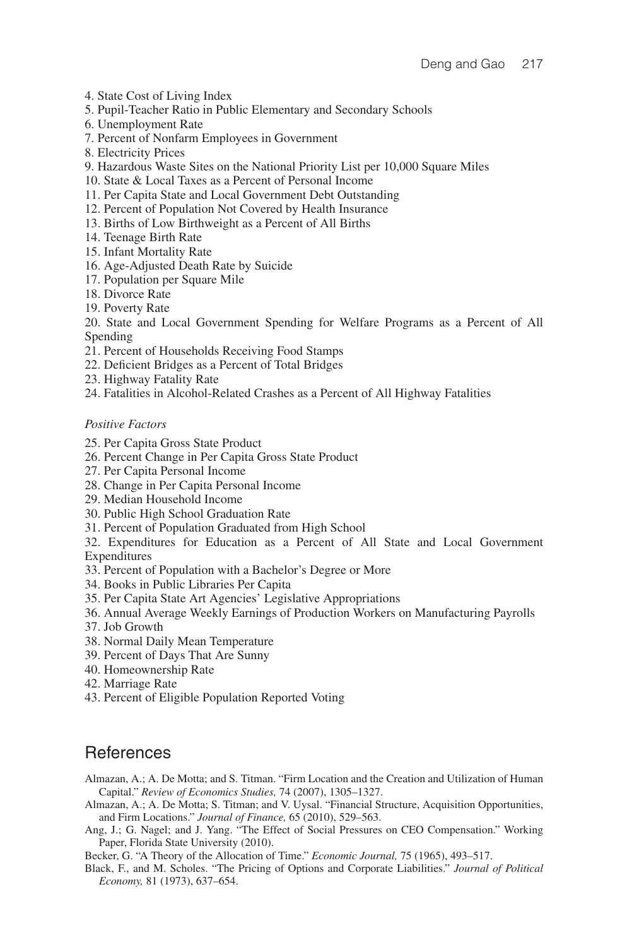- 4. State Cost of Living Index
- 5. Pupil-Teacher Ratio in Public Elementary and Secondary Schools
- 6. Unemployment Rate
- 7. Percent of Nonfarm Employees in Government
- 8. Electricity Prices
- 9. Hazardous Waste Sites on the National Priority List per 10,000 Square Miles
- 10. State & Local Taxes as a Percent of Personal Income
- 11. Per Capita State and Local Government Debt Outstanding
- 12. Percent of Population Not Covered by Health Insurance
- 13. Births of Low Birthweight as a Percent of All Births
- 14. Teenage Birth Rate
- 15. Infant Mortality Rate
- 16. Age-Adjusted Death Rate by Suicide
- 17. Population per Square Mile
- 18. Divorce Rate
- 19. Poverty Rate
- 20. State and Local Government Spending for Welfare Programs as a Percent of All Spending
- 21. Percent of Households Receiving Food Stamps
- 22. Deficient Bridges as a Percent of Total Bridges
- 23. Highway Fatality Rate
- 24. Fatalities in Alcohol-Related Crashes as a Percent of All Highway Fatalities

### *Positive Factors*

- 25. Per Capita Gross State Product
- 26. Percent Change in Per Capita Gross State Product
- 27. Per Capita Personal Income
- 28. Change in Per Capita Personal Income
- 29. Median Household Income
- 30. Public High School Graduation Rate
- 31. Percent of Population Graduated from High School
- 32. Expenditures for Education as a Percent of All State and Local Government Expenditures
- 33. Percent of Population with a Bachelor's Degree or More
- 34. Books in Public Libraries Per Capita
- 35. Per Capita State Art Agencies' Legislative Appropriations
- 36. Annual Average Weekly Earnings of Production Workers on Manufacturing Payrolls
- 37. Job Growth
- 38. Normal Daily Mean Temperature
- 39. Percent of Days That Are Sunny
- 40. Homeownership Rate
- 42. Marriage Rate
- 43. Percent of Eligible Population Reported Voting

# **References**

- Almazan, A.; A. De Motta; and S. Titman. "Firm Location and the Creation and Utilization of Human Capital." *Review of Economics Studies,* 74 (2007), 1305–1327.
- Almazan, A.; A. De Motta; S. Titman; and V. Uysal. "Financial Structure, Acquisition Opportunities, and Firm Locations." *Journal of Finance,* 65 (2010), 529–563.
- Ang, J.; G. Nagel; and J. Yang. "The Effect of Social Pressures on CEO Compensation." Working Paper, Florida State University (2010).

Becker, G. "A Theory of the Allocation of Time." *Economic Journal,* 75 (1965), 493–517.

Black, F., and M. Scholes. "The Pricing of Options and Corporate Liabilities." *Journal of Political Economy,* 81 (1973), 637–654.